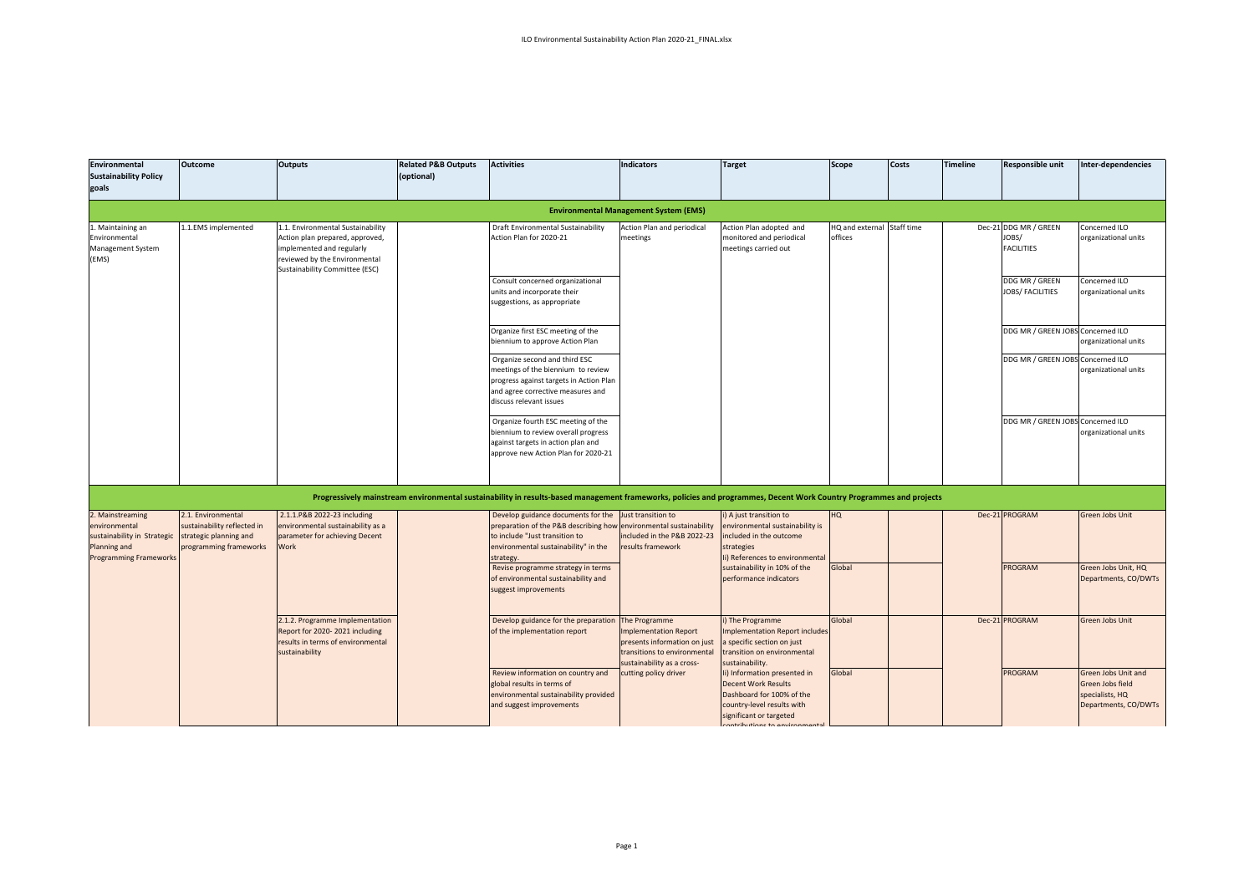| Environmental<br><b>Sustainability Policy</b><br>goals                                                            | <b>Outcome</b>                                                                                        | <b>Outputs</b>                                                                                                                                                     | <b>Related P&amp;B Outputs</b><br>(optional) | <b>Activities</b>                                                                                                                                                                               | <b>Indicators</b>                                                                                                                           | <b>Target</b>                                                                                                                                    | <b>Scope</b>                          | Costs | <b>Timeline</b> | Responsible unit                                                      | Inter-dependencies                                                                 |
|-------------------------------------------------------------------------------------------------------------------|-------------------------------------------------------------------------------------------------------|--------------------------------------------------------------------------------------------------------------------------------------------------------------------|----------------------------------------------|-------------------------------------------------------------------------------------------------------------------------------------------------------------------------------------------------|---------------------------------------------------------------------------------------------------------------------------------------------|--------------------------------------------------------------------------------------------------------------------------------------------------|---------------------------------------|-------|-----------------|-----------------------------------------------------------------------|------------------------------------------------------------------------------------|
|                                                                                                                   |                                                                                                       |                                                                                                                                                                    |                                              |                                                                                                                                                                                                 | <b>Environmental Management System (EMS)</b>                                                                                                |                                                                                                                                                  |                                       |       |                 |                                                                       |                                                                                    |
| 1. Maintaining an<br>Environmental<br>Management System<br>(EMS)                                                  | 1.1.EMS implemented                                                                                   | 1. Environmental Sustainability<br>Action plan prepared, approved,<br>implemented and regularly<br>reviewed by the Environmental<br>Sustainability Committee (ESC) |                                              | Draft Environmental Sustainability<br>Action Plan for 2020-21<br>Consult concerned organizational                                                                                               | Action Plan and periodical<br>meetings                                                                                                      | Action Plan adopted and<br>monitored and periodical<br>meetings carried out                                                                      | HQ and external Staff time<br>offices |       |                 | Dec-21 DDG MR / GREEN<br>JOBS/<br><b>FACILITIES</b><br>DDG MR / GREEN | Concerned ILO<br>organizational units<br>Concerned ILO                             |
|                                                                                                                   |                                                                                                       |                                                                                                                                                                    |                                              | units and incorporate their<br>suggestions, as appropriate                                                                                                                                      |                                                                                                                                             |                                                                                                                                                  |                                       |       |                 | <b>JOBS/ FACILITIES</b>                                               | organizational units                                                               |
|                                                                                                                   |                                                                                                       |                                                                                                                                                                    |                                              | Organize first ESC meeting of the<br>biennium to approve Action Plan                                                                                                                            |                                                                                                                                             |                                                                                                                                                  |                                       |       |                 | DDG MR / GREEN JOBS Concerned ILO                                     | organizational units                                                               |
|                                                                                                                   |                                                                                                       |                                                                                                                                                                    |                                              | Organize second and third ESC<br>meetings of the biennium to review<br>progress against targets in Action Plan<br>and agree corrective measures and<br>discuss relevant issues                  |                                                                                                                                             |                                                                                                                                                  |                                       |       |                 | DDG MR / GREEN JOBS Concerned ILO                                     | organizational units                                                               |
|                                                                                                                   |                                                                                                       |                                                                                                                                                                    |                                              | Organize fourth ESC meeting of the<br>biennium to review overall progress<br>against targets in action plan and<br>approve new Action Plan for 2020-21                                          |                                                                                                                                             |                                                                                                                                                  |                                       |       |                 | DDG MR / GREEN JOBS Concerned ILO                                     | organizational units                                                               |
|                                                                                                                   |                                                                                                       |                                                                                                                                                                    |                                              | Progressively mainstream environmental sustainability in results-based management frameworks, policies and programmes, Decent Work Country Programmes and projects                              |                                                                                                                                             |                                                                                                                                                  |                                       |       |                 |                                                                       |                                                                                    |
| 2. Mainstreaming<br>environmental<br>sustainability in Strategic<br>Planning and<br><b>Programming Frameworks</b> | 2.1. Environmental<br>sustainability reflected in<br>strategic planning and<br>programming frameworks | 2.1.1.P&B 2022-23 including<br>nvironmental sustainability as a<br>parameter for achieving Decent<br><b>Nork</b>                                                   |                                              | Develop guidance documents for the<br>preparation of the P&B describing how environmental sustainability<br>to include "Just transition to<br>environmental sustainability" in the<br>strategy. | lust transition to<br>included in the P&B 2022-23<br>results framework                                                                      | i) A just transition to<br>environmental sustainability is<br>ncluded in the outcome<br>strategies<br>Ii) References to environmenta             | HQ                                    |       |                 | Dec-21 PROGRAM                                                        | Green Jobs Unit                                                                    |
|                                                                                                                   |                                                                                                       |                                                                                                                                                                    |                                              | Revise programme strategy in terms<br>of environmental sustainability and<br>suggest improvements                                                                                               |                                                                                                                                             | sustainability in 10% of the<br>performance indicators                                                                                           | Global                                |       |                 | <b>PROGRAM</b>                                                        | Green Jobs Unit, HQ<br>Departments, CO/DWTs                                        |
|                                                                                                                   |                                                                                                       | 2.1.2. Programme Implementation<br>Report for 2020-2021 including<br>results in terms of environmental<br>sustainability                                           |                                              | Develop guidance for the preparation<br>of the implementation report                                                                                                                            | The Programme<br><b>Implementation Report</b><br>presents information on just<br>transitions to environmental<br>sustainability as a cross- | i) The Programme<br>mplementation Report includes<br>specific section on just<br>transition on environmental<br>sustainability.                  | Global                                |       |                 | Dec-21 PROGRAM                                                        | <b>Green Jobs Unit</b>                                                             |
|                                                                                                                   |                                                                                                       |                                                                                                                                                                    |                                              | Review information on country and<br>global results in terms of<br>environmental sustainability provided<br>and suggest improvements                                                            | cutting policy driver                                                                                                                       | Ii) Information presented in<br><b>Decent Work Results</b><br>Dashboard for 100% of the<br>country-level results with<br>significant or targeted | Global                                |       |                 | <b>PROGRAM</b>                                                        | Green Jobs Unit and<br>Green Jobs field<br>specialists, HQ<br>Departments, CO/DWTs |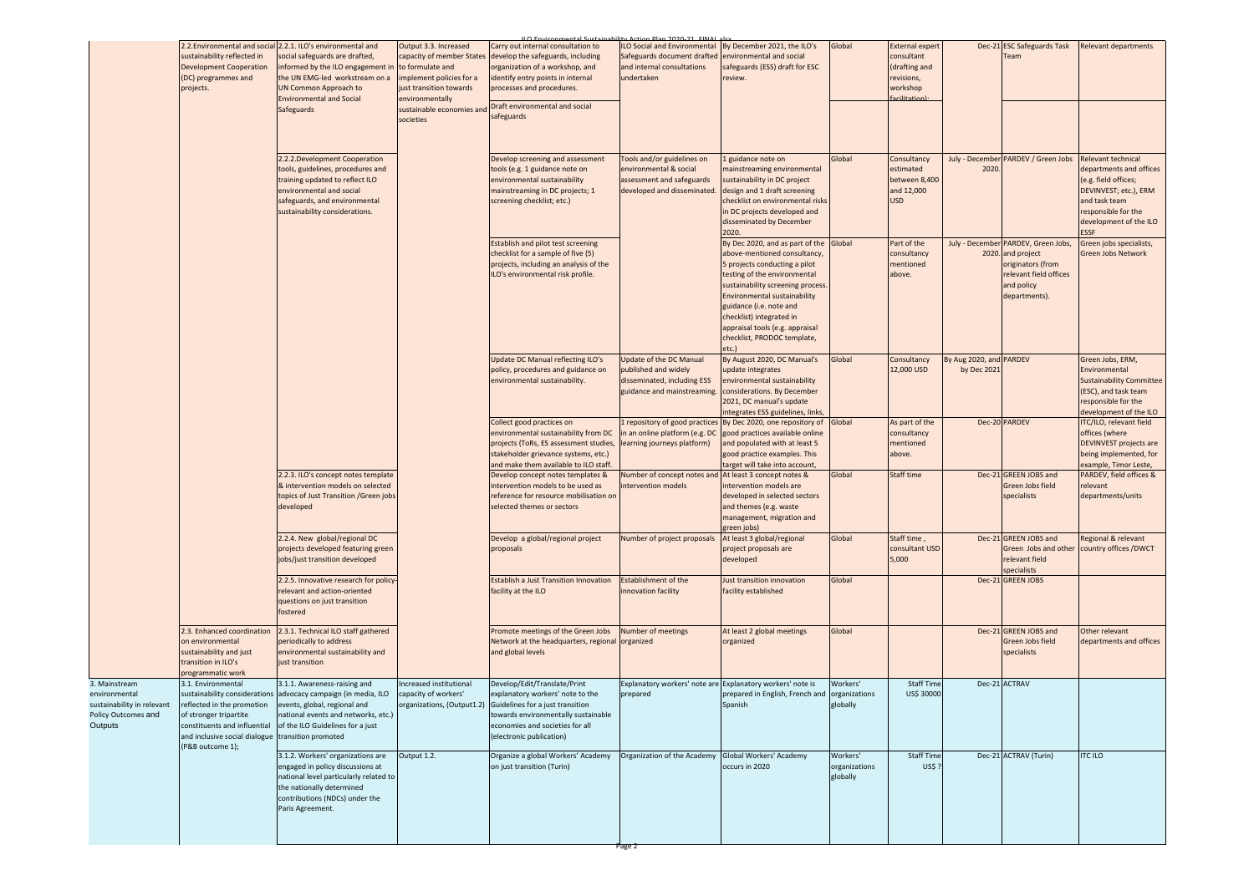|                                                                                                | sustainability reflected in<br><b>Development Cooperation</b><br>(DC) programmes and<br>projects.                                                                                  | 2.2. Environmental and social 2.2.1. ILO's environmental and<br>social safeguards are drafted,<br>informed by the ILO engagement in<br>the UN EMG-led workstream on a<br><b>UN Common Approach to</b><br><b>Environmental and Social</b> | Output 3.3. Increased<br>capacity of member States<br>to formulate and<br>mplement policies for a<br>just transition towards<br>nvironmentally | Carry out internal consultation to<br>develop the safeguards, including<br>organization of a workshop, and<br>identify entry points in internal<br>processes and procedures.<br>Draft environmental and social | <b>ILO Social and Environmental</b><br>Safeguards document drafted<br>and internal consultations<br>undertaken   | By December 2021, the ILO's<br>environmental and social<br>safeguards (ESS) draft for ESC<br>review.                                                                                                                                                                                                                                         | Global                                | <b>External expert</b><br>consultant<br>(drafting and<br>revisions,<br>workshop<br>acilitation |                                        | Dec-21 ESC Safeguards Task<br>Team                                                                                                     | Relevant departments                                                                                                                                                     |
|------------------------------------------------------------------------------------------------|------------------------------------------------------------------------------------------------------------------------------------------------------------------------------------|------------------------------------------------------------------------------------------------------------------------------------------------------------------------------------------------------------------------------------------|------------------------------------------------------------------------------------------------------------------------------------------------|----------------------------------------------------------------------------------------------------------------------------------------------------------------------------------------------------------------|------------------------------------------------------------------------------------------------------------------|----------------------------------------------------------------------------------------------------------------------------------------------------------------------------------------------------------------------------------------------------------------------------------------------------------------------------------------------|---------------------------------------|------------------------------------------------------------------------------------------------|----------------------------------------|----------------------------------------------------------------------------------------------------------------------------------------|--------------------------------------------------------------------------------------------------------------------------------------------------------------------------|
|                                                                                                |                                                                                                                                                                                    | Safeguards                                                                                                                                                                                                                               | sustainable economies an<br>societies                                                                                                          | safeguards                                                                                                                                                                                                     |                                                                                                                  |                                                                                                                                                                                                                                                                                                                                              |                                       |                                                                                                |                                        |                                                                                                                                        |                                                                                                                                                                          |
|                                                                                                |                                                                                                                                                                                    | 2.2.2.Development Cooperation<br>tools, guidelines, procedures and<br>training updated to reflect ILO<br>environmental and social<br>safeguards, and environmental<br>sustainability considerations.                                     |                                                                                                                                                | Develop screening and assessment<br>tools (e.g. 1 guidance note on<br>environmental sustainability<br>mainstreaming in DC projects; 1<br>screening checklist; etc.)                                            | Tools and/or guidelines on<br>environmental & social<br>assessment and safeguards<br>developed and disseminated. | 1 guidance note on<br>mainstreaming environmental<br>sustainability in DC project<br>design and 1 draft screening<br>checklist on environmental risks<br>in DC projects developed and<br>disseminated by December<br>2020.                                                                                                                   | Global                                | Consultancy<br>estimated<br>between 8,400<br>and 12,000<br><b>USD</b>                          | 2020                                   | July - December PARDEV / Green Jobs                                                                                                    | Relevant technical<br>departments and offices<br>(e.g. field offices;<br>DEVINVEST; etc.), ERM<br>and task team<br>responsible for the<br>development of the ILO<br>ESSE |
|                                                                                                |                                                                                                                                                                                    |                                                                                                                                                                                                                                          |                                                                                                                                                | Establish and pilot test screening<br>checklist for a sample of five (5)<br>projects, including an analysis of the<br>LO's environmental risk profile.                                                         |                                                                                                                  | By Dec 2020, and as part of the<br>above-mentioned consultancy,<br>5 projects conducting a pilot<br>testing of the environmental<br>sustainability screening process<br><b>Environmental sustainability</b><br>guidance (i.e. note and<br>checklist) integrated in<br>appraisal tools (e.g. appraisal<br>checklist, PRODOC template,<br>etc. | Global                                | Part of the<br>consultancy<br>mentioned<br>above.                                              |                                        | July - December PARDEV, Green Jobs,<br>2020. and project<br>originators (from<br>relevant field offices<br>and policy<br>departments). | Green jobs specialists,<br><b>Green Jobs Network</b>                                                                                                                     |
|                                                                                                |                                                                                                                                                                                    |                                                                                                                                                                                                                                          |                                                                                                                                                | Update DC Manual reflecting ILO's<br>policy, procedures and guidance on<br>environmental sustainability.                                                                                                       | Update of the DC Manual<br>published and widely<br>disseminated, including ESS<br>guidance and mainstreaming     | By August 2020, DC Manual's<br>update integrates<br>environmental sustainability<br>considerations. By December<br>2021, DC manual's update<br>ntegrates ESS guidelines, links                                                                                                                                                               | Global                                | Consultancy<br>12,000 USD                                                                      | By Aug 2020, and PARDEV<br>by Dec 202: |                                                                                                                                        | Green Jobs, ERM,<br>Environmental<br><b>Sustainability Committee</b><br>(ESC), and task team<br>responsible for the<br>development of the ILO                            |
|                                                                                                |                                                                                                                                                                                    |                                                                                                                                                                                                                                          |                                                                                                                                                | Collect good practices on<br>environmental sustainability from DC<br>projects (ToRs, ES assessment studies,<br>stakeholder grievance systems, etc.)<br>and make them available to ILO staff                    | 1 repository of good practices<br>in an online platform (e.g. DC<br>learning journeys platform)                  | By Dec 2020, one repository of<br>good practices available online<br>and populated with at least 5<br>good practice examples. This<br>arget will take into account,                                                                                                                                                                          | <b>Global</b>                         | As part of the<br>consultancy<br>mentioned<br>above.                                           |                                        | Dec-20 PARDEV                                                                                                                          | ITC/ILO, relevant field<br>offices (where<br><b>DEVINVEST projects are</b><br>being implemented, for<br>example, Timor Leste,                                            |
|                                                                                                |                                                                                                                                                                                    | 2.2.3. ILO's concept notes template<br>& intervention models on selected<br>topics of Just Transition / Green jobs<br>developed                                                                                                          |                                                                                                                                                | Develop concept notes templates &<br>ntervention models to be used as<br>reference for resource mobilisation on<br>selected themes or sectors                                                                  | Number of concept notes and<br>intervention models                                                               | At least 3 concept notes &<br>intervention models are<br>developed in selected sectors<br>and themes (e.g. waste<br>management, migration and<br>green jobs)                                                                                                                                                                                 | Global                                | Staff time                                                                                     |                                        | Dec-21 GREEN JOBS and<br>Green Jobs field<br>specialists                                                                               | PARDEV, field offices &<br>relevant<br>departments/units                                                                                                                 |
|                                                                                                |                                                                                                                                                                                    | 2.2.4. New global/regional DC<br>projects developed featuring green<br>jobs/just transition developed                                                                                                                                    |                                                                                                                                                | Develop a global/regional project<br>proposals                                                                                                                                                                 | Number of project proposals                                                                                      | At least 3 global/regional<br>project proposals are<br>developed                                                                                                                                                                                                                                                                             | Global                                | Staff time,<br>consultant USD<br>5,000                                                         |                                        | Dec-21 GREEN JOBS and<br>Green Jobs and other<br>relevant field<br>specialists                                                         | Regional & relevant<br>country offices /DWCT                                                                                                                             |
|                                                                                                |                                                                                                                                                                                    | 2.2.5. Innovative research for policy<br>relevant and action-oriented<br>questions on just transition<br>fostered                                                                                                                        |                                                                                                                                                | <b>Establish a Just Transition Innovation</b><br>acility at the ILO                                                                                                                                            | Establishment of the<br>innovation facility                                                                      | Just transition innovation<br>facility established                                                                                                                                                                                                                                                                                           | Global                                |                                                                                                |                                        | Dec-21 GREEN JOBS                                                                                                                      |                                                                                                                                                                          |
|                                                                                                | 2.3. Enhanced coordination<br>on environmental<br>sustainability and just<br>transition in ILO's<br>programmatic work                                                              | 2.3.1. Technical ILO staff gathered<br>periodically to address<br>environmental sustainability and<br>just transition                                                                                                                    |                                                                                                                                                | Promote meetings of the Green Jobs<br>Network at the headquarters, regional organized<br>and global levels                                                                                                     | Number of meetings                                                                                               | At least 2 global meetings<br>organized                                                                                                                                                                                                                                                                                                      | Global                                |                                                                                                |                                        | Dec-21 GREEN JOBS and<br>Green Jobs field<br>specialists                                                                               | Other relevant<br>departments and offices                                                                                                                                |
| 3. Mainstream<br>environmental<br>sustainability in relevant<br>Policy Outcomes and<br>Outputs | 3.1. Environmental<br>eflected in the promotion<br>of stronger tripartite<br>constituents and influential<br>and inclusive social dialogue transition promoted<br>(P&B outcome 1); | 3.1.1. Awareness-raising and<br>sustainability considerations advocacy campaign (in media, ILO<br>events, global, regional and<br>national events and networks, etc.)<br>of the ILO Guidelines for a just                                | ncreased institutional<br>capacity of workers'<br>rganizations, (Output1.2)                                                                    | Develop/Edit/Translate/Print<br>explanatory workers' note to the<br>Guidelines for a just transition<br>towards environmentally sustainable<br>economies and societies for all<br>(electronic publication)     | Explanatory workers' note are Explanatory workers' note is<br>prepared                                           | prepared in English, French and organizations<br>Spanish                                                                                                                                                                                                                                                                                     | Workers'<br>lobally                   | <b>Staff Tim</b><br>US\$ 30000                                                                 |                                        | Dec-21 ACTRAV                                                                                                                          |                                                                                                                                                                          |
|                                                                                                |                                                                                                                                                                                    | 3.1.2. Workers' organizations are<br>engaged in policy discussions at<br>national level particularly related to<br>the nationally determined<br>contributions (NDCs) under the<br>Paris Agreement.                                       | Output 1.2.                                                                                                                                    | Organize a global Workers' Academy<br>on just transition (Turin)                                                                                                                                               | Organization of the Academy Global Workers' Academy                                                              | occurs in 2020                                                                                                                                                                                                                                                                                                                               | Workers'<br>organizations<br>globally | <b>Staff Time</b><br>US\$                                                                      |                                        | Dec-21 ACTRAV (Turin)                                                                                                                  | <b>ITC ILO</b>                                                                                                                                                           |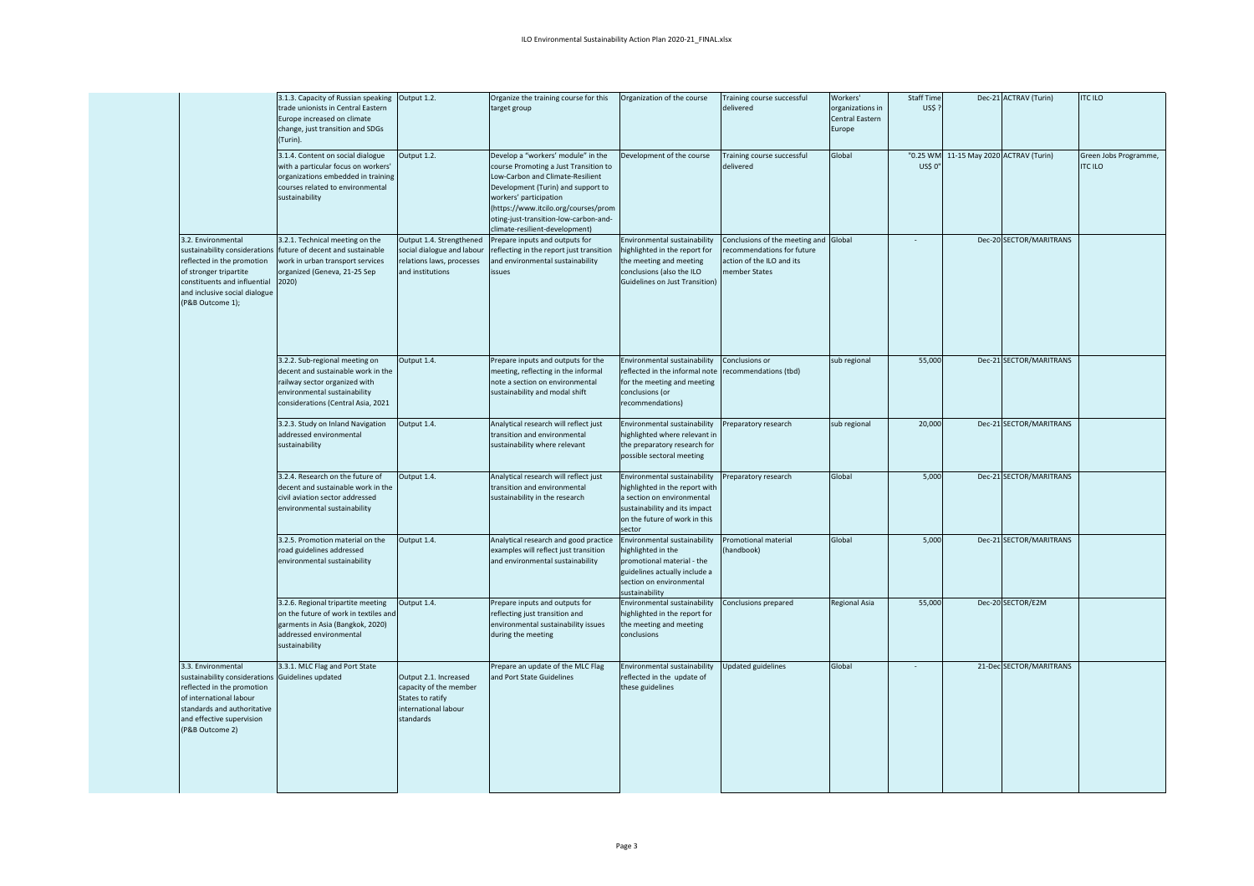|                                                                                                                                                                                                                | 3.1.3. Capacity of Russian speaking<br>trade unionists in Central Eastern<br>Europe increased on climate<br>change, just transition and SDGs<br>(Turin).                    | Output 1.2.                                                                                              | Organize the training course for this<br>target group                                                                                                                                                                                                                                              | Organization of the course                                                                                                                                               | Fraining course successful<br>delivered                                                                    | Workers'<br>organizations in<br>Central Eastern<br>Europe | Staff Time<br>US\$? |                                        | Dec-21 ACTRAV (Turin)   | <b>ITC ILO</b>                          |
|----------------------------------------------------------------------------------------------------------------------------------------------------------------------------------------------------------------|-----------------------------------------------------------------------------------------------------------------------------------------------------------------------------|----------------------------------------------------------------------------------------------------------|----------------------------------------------------------------------------------------------------------------------------------------------------------------------------------------------------------------------------------------------------------------------------------------------------|--------------------------------------------------------------------------------------------------------------------------------------------------------------------------|------------------------------------------------------------------------------------------------------------|-----------------------------------------------------------|---------------------|----------------------------------------|-------------------------|-----------------------------------------|
|                                                                                                                                                                                                                | 3.1.4. Content on social dialogue<br>with a particular focus on workers'<br>organizations embedded in training<br>courses related to environmental<br>sustainability        | Output 1.2.                                                                                              | Develop a "workers' module" in the<br>course Promoting a Just Transition to<br>Low-Carbon and Climate-Resilient<br>Development (Turin) and support to<br>workers' participation<br>(https://www.itcilo.org/courses/prom<br>oting-just-transition-low-carbon-and-<br>climate-resilient-development) | Development of the course                                                                                                                                                | Training course successful<br>delivered                                                                    | Global                                                    | US\$ 0"             | "0.25 WM 11-15 May 2020 ACTRAV (Turin) |                         | Green Jobs Programme,<br><b>ITC ILO</b> |
| 3.2. Environmental<br>sustainability considerations<br>reflected in the promotion<br>of stronger tripartite<br>constituents and influential<br>and inclusive social dialogue<br>(P&B Outcome 1);               | 3.2.1. Technical meeting on the<br>future of decent and sustainable<br>work in urban transport services<br>organized (Geneva, 21-25 Sep<br>2020)                            | Output 1.4. Strengthened<br>social dialogue and labour<br>relations laws, processes<br>and institutions  | Prepare inputs and outputs for<br>reflecting in the report just transition<br>and environmental sustainability<br>issues                                                                                                                                                                           | Environmental sustainability<br>highlighted in the report for<br>the meeting and meeting<br>conclusions (also the ILO<br><b>Guidelines on Just Transition)</b>           | Conclusions of the meeting and<br>recommendations for future<br>action of the ILO and its<br>member States | Global                                                    |                     |                                        | Dec-20 SECTOR/MARITRANS |                                         |
|                                                                                                                                                                                                                | 3.2.2. Sub-regional meeting on<br>decent and sustainable work in the<br>railway sector organized with<br>environmental sustainability<br>considerations (Central Asia, 2021 | Output 1.4.                                                                                              | Prepare inputs and outputs for the<br>meeting, reflecting in the informal<br>note a section on environmental<br>sustainability and modal shift                                                                                                                                                     | Environmental sustainability<br>reflected in the informal note<br>for the meeting and meeting<br>conclusions (or<br>recommendations)                                     | Conclusions or<br>recommendations (tbd)                                                                    | sub regional                                              | 55,000              |                                        | Dec-21 SECTOR/MARITRANS |                                         |
|                                                                                                                                                                                                                | 3.2.3. Study on Inland Navigation<br>addressed environmental<br>sustainability                                                                                              | Output 1.4.                                                                                              | Analytical research will reflect just<br>transition and environmental<br>sustainability where relevant                                                                                                                                                                                             | Environmental sustainability<br>highlighted where relevant in<br>the preparatory research for<br>possible sectoral meeting                                               | Preparatory research                                                                                       | sub regional                                              | 20,000              |                                        | Dec-21 SECTOR/MARITRANS |                                         |
|                                                                                                                                                                                                                | 3.2.4. Research on the future of<br>decent and sustainable work in the<br>civil aviation sector addressed<br>environmental sustainability                                   | Output 1.4.                                                                                              | Analytical research will reflect just<br>transition and environmental<br>sustainability in the research                                                                                                                                                                                            | Environmental sustainability<br>highlighted in the report with<br>a section on environmental<br>sustainability and its impact<br>on the future of work in this<br>sector | Preparatory research                                                                                       | Global                                                    | 5,000               |                                        | Dec-21 SECTOR/MARITRANS |                                         |
|                                                                                                                                                                                                                | 3.2.5. Promotion material on the<br>road guidelines addressed<br>environmental sustainability                                                                               | Output 1.4.                                                                                              | Analytical research and good practice<br>examples will reflect just transition<br>and environmental sustainability                                                                                                                                                                                 | Environmental sustainability<br>highlighted in the<br>promotional material - the<br>guidelines actually include a<br>section on environmental<br>sustainability          | Promotional material<br>handbook)                                                                          | Global                                                    | 5,000               |                                        | Dec-21 SECTOR/MARITRANS |                                         |
|                                                                                                                                                                                                                | 3.2.6. Regional tripartite meeting<br>on the future of work in textiles and<br>garments in Asia (Bangkok, 2020)<br>addressed environmental<br>sustainability                | Output 1.4.                                                                                              | Prepare inputs and outputs for<br>reflecting just transition and<br>environmental sustainability issues<br>during the meeting                                                                                                                                                                      | Environmental sustainability<br>highlighted in the report for<br>the meeting and meeting<br>conclusions                                                                  | Conclusions prepared                                                                                       | <b>Regional Asia</b>                                      | 55,000              |                                        | Dec-20 SECTOR/E2M       |                                         |
| 3.3. Environmental<br>sustainability considerations Guidelines updated<br>reflected in the promotion<br>of international labour<br>standards and authoritative<br>and effective supervision<br>(P&B Outcome 2) | 3.3.1. MLC Flag and Port State                                                                                                                                              | Output 2.1. Increased<br>capacity of the member<br>States to ratify<br>international labour<br>standards | Prepare an update of the MLC Flag<br>and Port State Guidelines                                                                                                                                                                                                                                     | Environmental sustainability<br>reflected in the update of<br>these guidelines                                                                                           | Updated guidelines                                                                                         | Global                                                    |                     |                                        | 21-Dec SECTOR/MARITRANS |                                         |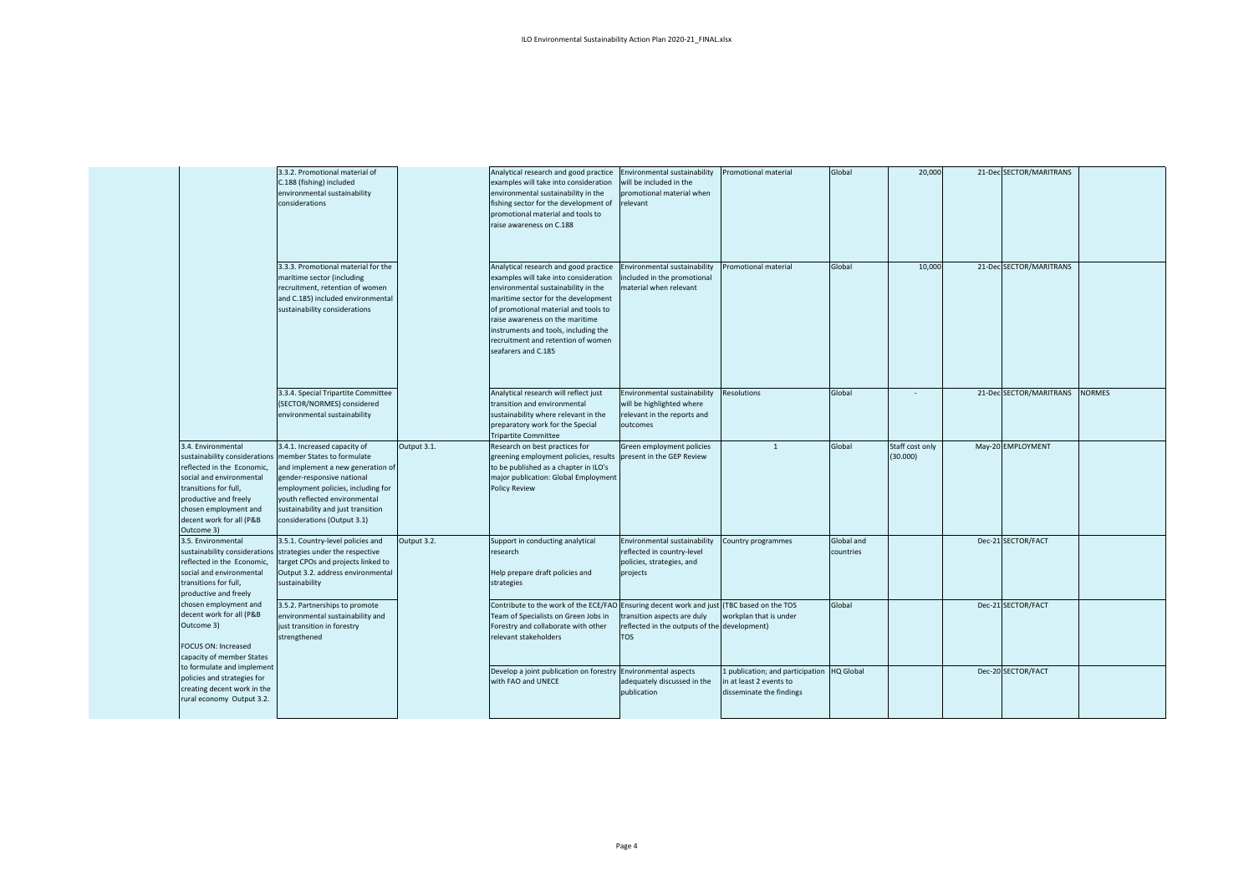|                                                                                                                                                                                                                                    | 3.3.2. Promotional material of<br>C.188 (fishing) included<br>environmental sustainability<br>considerations                                                                                                                                                              |             | Analytical research and good practice<br>examples will take into consideration<br>environmental sustainability in the<br>fishing sector for the development of<br>promotional material and tools to<br>raise awareness on C.188                                                                                                              | Environmental sustainability<br>will be included in the<br>promotional material when<br>relevant     | <b>Promotional material</b>                                                             | Global                  | 20,000                      | 21-Dec SECTOR/MARITRANS |               |
|------------------------------------------------------------------------------------------------------------------------------------------------------------------------------------------------------------------------------------|---------------------------------------------------------------------------------------------------------------------------------------------------------------------------------------------------------------------------------------------------------------------------|-------------|----------------------------------------------------------------------------------------------------------------------------------------------------------------------------------------------------------------------------------------------------------------------------------------------------------------------------------------------|------------------------------------------------------------------------------------------------------|-----------------------------------------------------------------------------------------|-------------------------|-----------------------------|-------------------------|---------------|
|                                                                                                                                                                                                                                    | 3.3.3. Promotional material for the<br>maritime sector (including<br>recruitment, retention of women<br>and C.185) included environmental<br>sustainability considerations                                                                                                |             | Analytical research and good practice<br>examples will take into consideration<br>environmental sustainability in the<br>maritime sector for the development<br>of promotional material and tools to<br>raise awareness on the maritime<br>instruments and tools, including the<br>recruitment and retention of women<br>seafarers and C.185 | Environmental sustainability<br>included in the promotional<br>material when relevant                | Promotional material                                                                    | Global                  | 10,000                      | 21-Dec SECTOR/MARITRANS |               |
|                                                                                                                                                                                                                                    | 3.3.4. Special Tripartite Committee<br>(SECTOR/NORMES) considered<br>environmental sustainability                                                                                                                                                                         |             | Analytical research will reflect just<br>transition and environmental<br>sustainability where relevant in the<br>preparatory work for the Special<br>Tripartite Committee                                                                                                                                                                    | Environmental sustainability<br>will be highlighted where<br>relevant in the reports and<br>outcomes | Resolutions                                                                             | Global                  |                             | 21-Dec SECTOR/MARITRANS | <b>NORMES</b> |
| 3.4. Environmental<br>sustainability considerations<br>reflected in the Economic,<br>social and environmental<br>transitions for full,<br>productive and freely<br>chosen employment and<br>decent work for all (P&B<br>Outcome 3) | 3.4.1. Increased capacity of<br>member States to formulate<br>and implement a new generation of<br>gender-responsive national<br>employment policies, including for<br>youth reflected environmental<br>sustainability and just transition<br>considerations (Output 3.1) | Output 3.1. | Research on best practices for<br>greening employment policies, results<br>to be published as a chapter in ILO's<br>major publication: Global Employment<br><b>Policy Review</b>                                                                                                                                                             | Green employment policies<br>present in the GEP Review                                               | $\overline{1}$                                                                          | Global                  | Staff cost only<br>(30.000) | May-20 EMPLOYMENT       |               |
| 3.5. Environmental<br>sustainability considerations<br>reflected in the Economic,<br>social and environmental<br>transitions for full,<br>productive and freely                                                                    | 3.5.1. Country-level policies and<br>strategies under the respective<br>target CPOs and projects linked to<br>Output 3.2. address environmental<br>sustainability                                                                                                         | Output 3.2. | Support in conducting analytical<br>research<br>Help prepare draft policies and<br>strategies                                                                                                                                                                                                                                                | Environmental sustainability<br>reflected in country-level<br>policies, strategies, and<br>projects  | Country programmes                                                                      | Global and<br>countries |                             | Dec-21 SECTOR/FACT      |               |
| chosen employment and<br>decent work for all (P&B<br>Outcome 3)<br>FOCUS ON: Increased<br>capacity of member States                                                                                                                | 3.5.2. Partnerships to promote<br>environmental sustainability and<br>just transition in forestry<br>strengthened                                                                                                                                                         |             | Contribute to the work of the ECE/FAO Ensuring decent work and just<br>Team of Specialists on Green Jobs in<br>Forestry and collaborate with other<br>relevant stakeholders                                                                                                                                                                  | transition aspects are duly<br>reflected in the outputs of the development)<br><b>TOS</b>            | (TBC based on the TOS<br>workplan that is under                                         | Global                  |                             | Dec-21 SECTOR/FACT      |               |
| to formulate and implement<br>policies and strategies for<br>creating decent work in the<br>rural economy Output 3.2.                                                                                                              |                                                                                                                                                                                                                                                                           |             | Develop a joint publication on forestry Environmental aspects<br>with FAO and UNECE                                                                                                                                                                                                                                                          | adequately discussed in the<br>publication                                                           | 1 publication; and participation<br>in at least 2 events to<br>disseminate the findings | <b>HQ Global</b>        |                             | Dec-20 SECTOR/FACT      |               |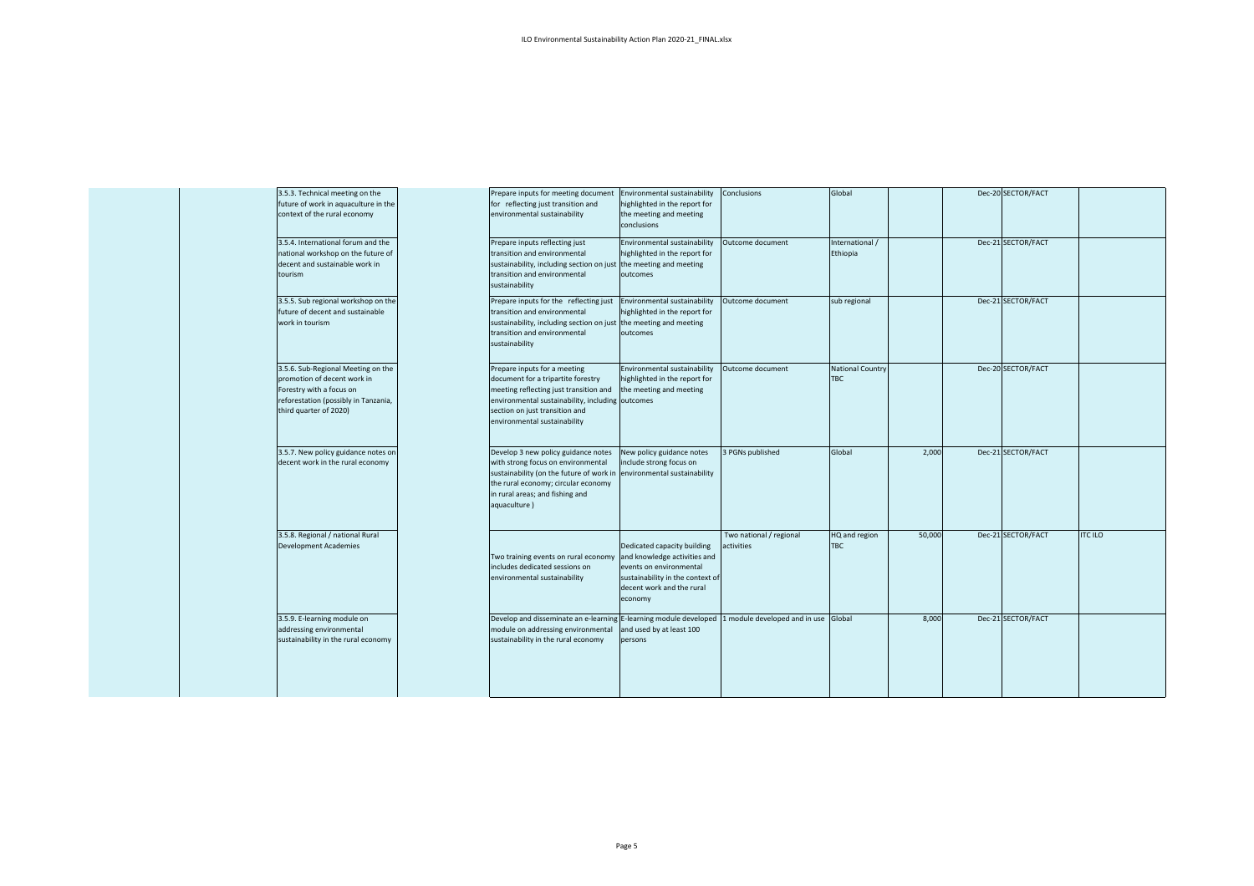| 3.5.3. Technical meeting on the<br>context of the rural economy                   | future of work in aquaculture in the                                       | Prepare inputs for meeting document<br>for reflecting just transition and<br>environmental sustainability                                                                                                                                    | Environmental sustainability<br>highlighted in the report for<br>the meeting and meeting<br>conclusions                                                            | Conclusions                           | Global                                |        | Dec-20 SECTOR/FACT |                |
|-----------------------------------------------------------------------------------|----------------------------------------------------------------------------|----------------------------------------------------------------------------------------------------------------------------------------------------------------------------------------------------------------------------------------------|--------------------------------------------------------------------------------------------------------------------------------------------------------------------|---------------------------------------|---------------------------------------|--------|--------------------|----------------|
| decent and sustainable work in<br>tourism                                         | 3.5.4. International forum and the<br>national workshop on the future of   | Prepare inputs reflecting just<br>transition and environmental<br>sustainability, including section on just the meeting and meeting<br>transition and environmental<br>sustainability                                                        | Environmental sustainability<br>highlighted in the report for<br>outcomes                                                                                          | Outcome document                      | International /<br>Ethiopia           |        | Dec-21 SECTOR/FACT |                |
| future of decent and sustainable<br>work in tourism                               | 3.5.5. Sub regional workshop on the                                        | Prepare inputs for the reflecting just<br>transition and environmental<br>sustainability, including section on just the meeting and meeting<br>transition and environmental<br>sustainability                                                | Environmental sustainability<br>highlighted in the report for<br>outcomes                                                                                          | Outcome document                      | sub regional                          |        | Dec-21 SECTOR/FACT |                |
| promotion of decent work in<br>Forestry with a focus on<br>third quarter of 2020) | 3.5.6. Sub-Regional Meeting on the<br>reforestation (possibly in Tanzania, | Prepare inputs for a meeting<br>document for a tripartite forestry<br>meeting reflecting just transition and<br>environmental sustainability, including outcomes<br>section on just transition and<br>environmental sustainability           | Environmental sustainability<br>highlighted in the report for<br>the meeting and meeting                                                                           | Outcome document                      | <b>National Country</b><br><b>TBC</b> |        | Dec-20 SECTOR/FACT |                |
| decent work in the rural economy                                                  | 3.5.7. New policy guidance notes on                                        | Develop 3 new policy guidance notes<br>with strong focus on environmental<br>sustainability (on the future of work in environmental sustainability<br>the rural economy; circular economy<br>in rural areas; and fishing and<br>aquaculture) | New policy guidance notes<br>include strong focus on                                                                                                               | 3 PGNs published                      | Global                                | 2,000  | Dec-21 SECTOR/FACT |                |
| 3.5.8. Regional / national Rural<br>Development Academies                         |                                                                            | Two training events on rural economy<br>includes dedicated sessions on<br>environmental sustainability                                                                                                                                       | Dedicated capacity building<br>and knowledge activities and<br>events on environmental<br>sustainability in the context of<br>decent work and the rural<br>economy | Two national / regional<br>activities | HQ and region<br><b>TBC</b>           | 50,000 | Dec-21 SECTOR/FACT | <b>ITC ILO</b> |
| 3.5.9. E-learning module on<br>addressing environmental                           | sustainability in the rural economy                                        | Develop and disseminate an e-learning E-learning module developed<br>module on addressing environmental<br>sustainability in the rural economy                                                                                               | and used by at least 100<br>persons                                                                                                                                | 1 module developed and in use Global  |                                       | 8,000  | Dec-21 SECTOR/FACT |                |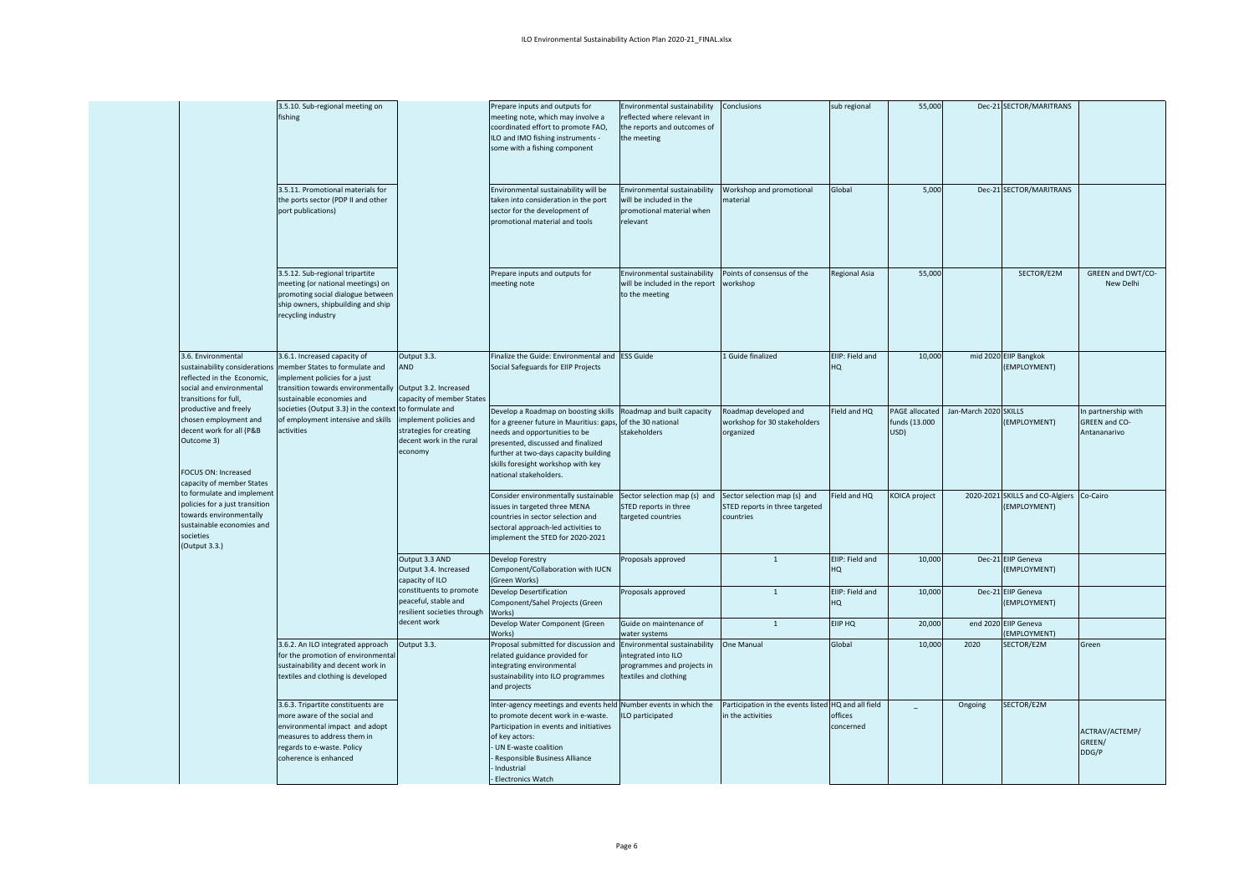|                                                                                                                                                    | 3.5.10. Sub-regional meeting on<br>fishing                                                                                                                                                 |                                                                                               | Prepare inputs and outputs for<br>meeting note, which may involve a<br>coordinated effort to promote FAO,<br>ILO and IMO fishing instruments -<br>some with a fishing component                                                                                          | Environmental sustainability<br>eflected where relevant in<br>the reports and outcomes of<br>the meeting | Conclusions                                                                 | sub regional                     | 55,000                                         |                       | Dec-21 SECTOR/MARITRANS                                    |                                                     |
|----------------------------------------------------------------------------------------------------------------------------------------------------|--------------------------------------------------------------------------------------------------------------------------------------------------------------------------------------------|-----------------------------------------------------------------------------------------------|--------------------------------------------------------------------------------------------------------------------------------------------------------------------------------------------------------------------------------------------------------------------------|----------------------------------------------------------------------------------------------------------|-----------------------------------------------------------------------------|----------------------------------|------------------------------------------------|-----------------------|------------------------------------------------------------|-----------------------------------------------------|
|                                                                                                                                                    | 3.5.11. Promotional materials for<br>the ports sector (PDP II and other<br>port publications)                                                                                              |                                                                                               | Environmental sustainability will be<br>taken into consideration in the port<br>sector for the development of<br>promotional material and tools                                                                                                                          | Environmental sustainability<br>will be included in the<br>promotional material when<br>elevant          | Workshop and promotional<br>material                                        | Global                           | 5,000                                          |                       | Dec-21 SECTOR/MARITRANS                                    |                                                     |
|                                                                                                                                                    | 3.5.12. Sub-regional tripartite<br>meeting (or national meetings) on<br>promoting social dialogue between<br>ship owners, shipbuilding and ship<br>recycling industry                      |                                                                                               | Prepare inputs and outputs for<br>meeting note                                                                                                                                                                                                                           | Environmental sustainability<br>will be included in the report<br>to the meeting                         | Points of consensus of the<br>workshop                                      | <b>Regional Asia</b>             | 55,000                                         |                       | SECTOR/E2M                                                 | GREEN and DWT/CO-<br>New Delhi                      |
| 3.6. Environmental<br>sustainability considerations<br>reflected in the Economic,<br>social and environmental<br>transitions for full,             | 3.6.1. Increased capacity of<br>member States to formulate and<br>mplement policies for a just<br>transition towards environmentally Output 3.2. Increased<br>sustainable economies and    | Output 3.3.<br><b>AND</b><br>capacity of member States                                        | Finalize the Guide: Environmental and ESS Guide<br>Social Safeguards for EIIP Projects                                                                                                                                                                                   |                                                                                                          | 1 Guide finalized                                                           | EIIP: Field and<br>HQ            | 10,000                                         |                       | mid 2020 EIIP Bangkok<br>(EMPLOYMENT)                      |                                                     |
| productive and freely<br>chosen employment and<br>decent work for all (P&B<br>Outcome 3)<br>FOCUS ON: Increased<br>capacity of member States       | societies (Output 3.3) in the context to formulate and<br>of employment intensive and skills<br>activities                                                                                 | implement policies and<br>strategies for creating<br>decent work in the rural<br>economy      | Develop a Roadmap on boosting skills<br>for a greener future in Mauritius: gaps<br>needs and opportunities to be<br>presented, discussed and finalized<br>further at two-days capacity building<br>skills foresight workshop with key<br>national stakeholders.          | Roadmap and built capacity<br>of the 30 national<br>stakeholders                                         | Roadmap developed and<br>workshop for 30 stakeholders<br>organized          | ield and HQ                      | <b>PAGE allocated</b><br>funds (13.000<br>USD) | Jan-March 2020 SKILLS | (EMPLOYMENT)                                               | n partnership with<br>GREEN and CO-<br>Antananarivo |
| to formulate and implement<br>policies for a just transition<br>towards environmentally<br>sustainable economies and<br>societies<br>(Output 3.3.) |                                                                                                                                                                                            |                                                                                               | Consider environmentally sustainable<br>issues in targeted three MENA<br>countries in sector selection and<br>sectoral approach-led activities to<br>implement the STED for 2020-2021                                                                                    | Sector selection map (s) and<br>STED reports in three<br>argeted countries                               | Sector selection map (s) and<br>STED reports in three targeted<br>countries | Field and HQ                     | KOICA project                                  |                       | 2020-2021 SKILLS and CO-Algiers Co-Cairo<br>(EMPLOYMENT)   |                                                     |
|                                                                                                                                                    |                                                                                                                                                                                            | Output 3.3 AND<br>Output 3.4. Increased<br>capacity of ILO                                    | Develop Forestry<br>Component/Collaboration with IUCN<br>(Green Works)                                                                                                                                                                                                   | Proposals approved                                                                                       | $\mathbf{1}$                                                                | EIIP: Field and<br>HQ            | 10,000                                         |                       | Dec-21 EIIP Geneva<br>(EMPLOYMENT)                         |                                                     |
|                                                                                                                                                    |                                                                                                                                                                                            | constituents to promote<br>peaceful, stable and<br>resilient societies through<br>decent work | Develop Desertification<br>Component/Sahel Projects (Green<br>Works)<br>Develop Water Component (Green                                                                                                                                                                   | Proposals approved<br>Guide on maintenance of                                                            | $\overline{1}$<br>$\mathbf{1}$                                              | EIIP: Field and<br>HQ<br>EIIP HQ | 10,000<br>20,000                               |                       | Dec-21 EIIP Geneva<br>(EMPLOYMENT)<br>end 2020 EIIP Geneva |                                                     |
|                                                                                                                                                    |                                                                                                                                                                                            |                                                                                               | Works)                                                                                                                                                                                                                                                                   | water systems                                                                                            |                                                                             |                                  |                                                |                       | EMPLOYMENT)                                                |                                                     |
|                                                                                                                                                    | 3.6.2. An ILO integrated approach<br>for the promotion of environmental<br>sustainability and decent work in<br>textiles and clothing is developed                                         | Output 3.3.                                                                                   | Proposal submitted for discussion and<br>related guidance provided for<br>integrating environmental<br>sustainability into ILO programmes<br>and projects                                                                                                                | Environmental sustainability<br>ntegrated into ILO<br>rogrammes and projects in<br>extiles and clothing  | One Manual                                                                  | Global                           | 10,000                                         | 2020                  | SECTOR/E2M                                                 | Green                                               |
|                                                                                                                                                    | 3.6.3. Tripartite constituents are<br>more aware of the social and<br>environmental impact and adopt<br>measures to address them in<br>regards to e-waste. Policy<br>coherence is enhanced |                                                                                               | Inter-agency meetings and events held Number events in which the<br>to promote decent work in e-waste.<br>Participation in events and initiatives<br>of key actors:<br>UN E-waste coalition<br><b>Responsible Business Alliance</b><br>Industrial<br>- Electronics Watch | LO participated                                                                                          | Participation in the events listed HQ and all field<br>in the activities    | offices<br>concerned             |                                                | Ongoing               | SECTOR/E2M                                                 | ACTRAV/ACTEMP/<br>GREEN/<br>DDG/P                   |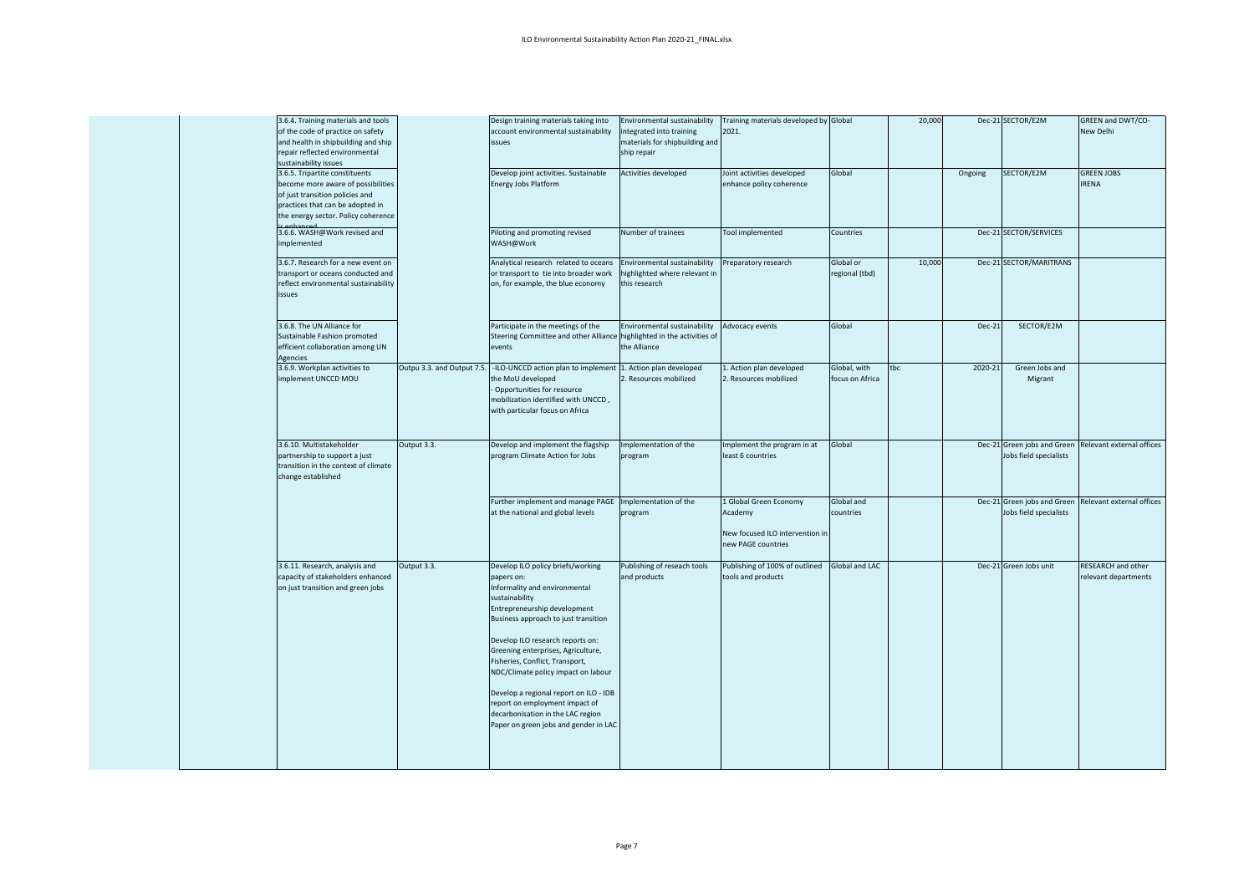|             | 3.6.4. Training materials and tools<br>of the code of practice on safety<br>and health in shipbuilding and ship<br>repair reflected environmental<br>sustainability issues         |                            | Design training materials taking into<br>account environmental sustainability<br>issues                                                                                                                                                                                                                                                                                                                                                                                                  | Environmental sustainability<br>integrated into training<br>materials for shipbuilding and<br>ship repair | Training materials developed by Global<br>2021.                                            |                                 | 20,000 |         | Dec-21 SECTOR/E2M                                     | GREEN and DWT/CO-<br>New Delhi                    |
|-------------|------------------------------------------------------------------------------------------------------------------------------------------------------------------------------------|----------------------------|------------------------------------------------------------------------------------------------------------------------------------------------------------------------------------------------------------------------------------------------------------------------------------------------------------------------------------------------------------------------------------------------------------------------------------------------------------------------------------------|-----------------------------------------------------------------------------------------------------------|--------------------------------------------------------------------------------------------|---------------------------------|--------|---------|-------------------------------------------------------|---------------------------------------------------|
| ic onhancod | 3.6.5. Tripartite constituents<br>become more aware of possibilities<br>of just transition policies and<br>practices that can be adopted in<br>the energy sector. Policy coherence |                            | Develop joint activities. Sustainable<br><b>Energy Jobs Platform</b>                                                                                                                                                                                                                                                                                                                                                                                                                     | Activities developed                                                                                      | Joint activities developed<br>enhance policy coherence                                     | Global                          |        | Ongoing | SECTOR/E2M                                            | <b>GREEN JOBS</b><br><b>IRENA</b>                 |
| implemented | 3.6.6. WASH@Work revised and                                                                                                                                                       |                            | Piloting and promoting revised<br>WASH@Work                                                                                                                                                                                                                                                                                                                                                                                                                                              | Number of trainees                                                                                        | Tool implemented                                                                           | Countries                       |        |         | Dec-21 SECTOR/SERVICES                                |                                                   |
| issues      | 3.6.7. Research for a new event on<br>transport or oceans conducted and<br>reflect environmental sustainability                                                                    |                            | Analytical research related to oceans<br>or transport to tie into broader work<br>on, for example, the blue economy                                                                                                                                                                                                                                                                                                                                                                      | Environmental sustainability<br>highlighted where relevant in<br>this research                            | reparatory research                                                                        | Global or<br>regional (tbd)     | 10,000 |         | Dec-21 SECTOR/MARITRANS                               |                                                   |
| Agencies    | 3.6.8. The UN Alliance for<br>Sustainable Fashion promoted<br>efficient collaboration among UN                                                                                     |                            | Participate in the meetings of the<br>Steering Committee and other Alliance highlighted in the activities of<br>events                                                                                                                                                                                                                                                                                                                                                                   | Environmental sustainability<br>the Alliance                                                              | Advocacy events                                                                            | Global                          |        | Dec-21  | SECTOR/E2M                                            |                                                   |
|             | 3.6.9. Workplan activities to<br>implement UNCCD MOU                                                                                                                               | Outpu 3.3. and Output 7.5. | -ILO-UNCCD action plan to implement 1. Action plan developed<br>the MoU developed<br>Opportunities for resource<br>mobilization identified with UNCCD,<br>with particular focus on Africa                                                                                                                                                                                                                                                                                                | . Resources mobilized                                                                                     | 1. Action plan developed<br>2. Resources mobilized                                         | Global, with<br>focus on Africa | tbc    | 2020-21 | Green Jobs and<br>Migrant                             |                                                   |
|             | 3.6.10. Multistakeholder<br>partnership to support a just<br>transition in the context of climate<br>change established                                                            | Output 3.3.                | Develop and implement the flagship<br>program Climate Action for Jobs                                                                                                                                                                                                                                                                                                                                                                                                                    | Implementation of the<br>program                                                                          | mplement the program in at<br>least 6 countries                                            | Global                          |        |         | Dec-21 Green jobs and Green<br>Jobs field specialists | Relevant external offices                         |
|             |                                                                                                                                                                                    |                            | Further implement and manage PAGE<br>at the national and global levels                                                                                                                                                                                                                                                                                                                                                                                                                   | Implementation of the<br>program                                                                          | L Global Green Economy<br>Academy<br>New focused ILO intervention in<br>new PAGE countries | Global and<br>countries         |        |         | Dec-21 Green jobs and Green<br>Jobs field specialists | Relevant external offices                         |
|             | 3.6.11. Research, analysis and<br>capacity of stakeholders enhanced<br>on just transition and green jobs                                                                           | Output 3.3.                | Develop ILO policy briefs/working<br>papers on:<br>Informality and environmental<br>sustainability<br>Entrepreneurship development<br>Business approach to just transition<br>Develop ILO research reports on:<br>Greening enterprises, Agriculture,<br>Fisheries, Conflict, Transport,<br>NDC/Climate policy impact on labour<br>Develop a regional report on ILO - IDB<br>report on employment impact of<br>decarbonisation in the LAC region<br>Paper on green jobs and gender in LAC | Publishing of reseach tools<br>and products                                                               | Publishing of 100% of outlined<br>tools and products                                       | Global and LAC                  |        |         | Dec-21 Green Jobs unit                                | <b>RESEARCH and other</b><br>relevant departments |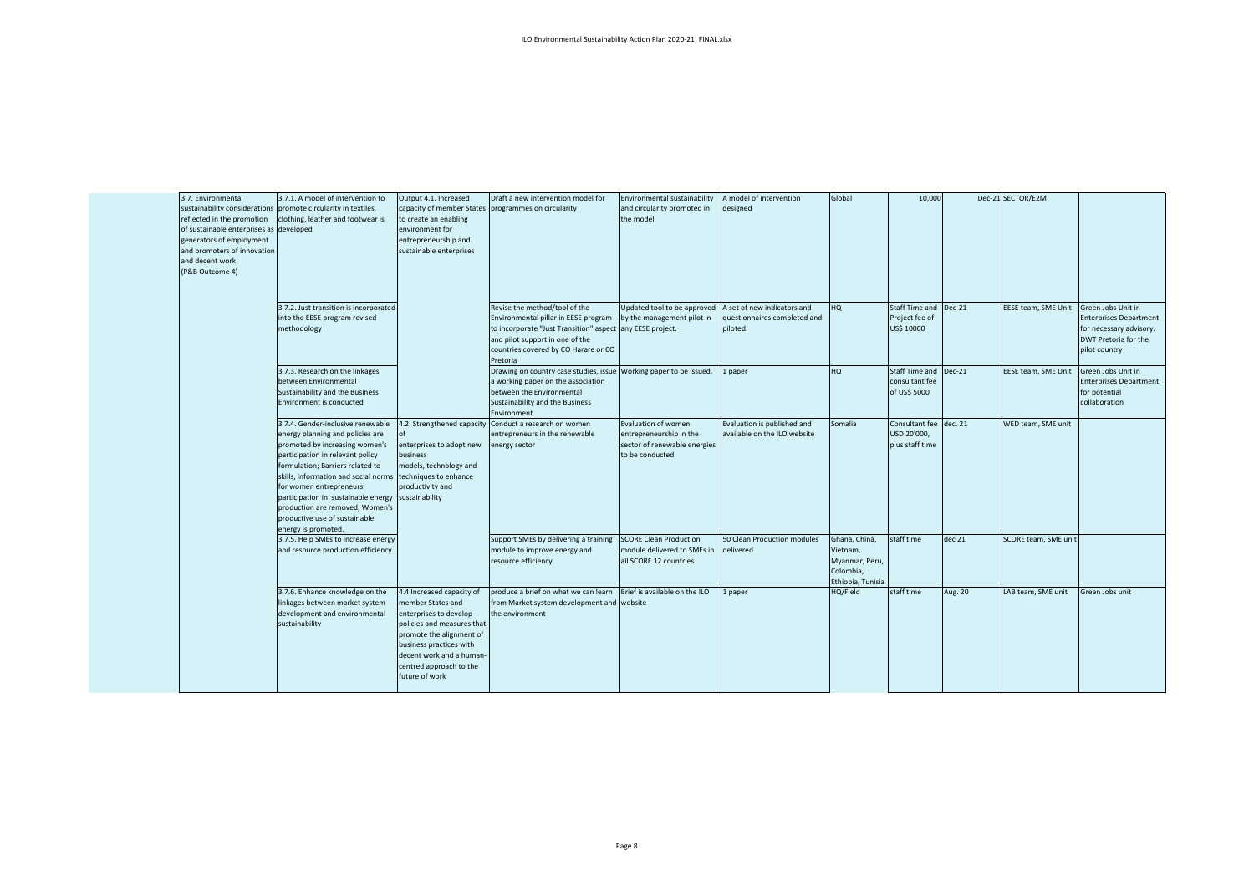| 3.7. Environmental<br>reflected in the promotion<br>of sustainable enterprises as developed<br>generators of employment<br>and promoters of innovation<br>and decent work<br>(P&B Outcome 4) | 3.7.1. A model of intervention to<br>sustainability considerations promote circularity in textiles,<br>clothing, leather and footwear is                                                                                                                                                                                                                                              | Output 4.1. Increased<br>to create an enabling<br>environment for<br>entrepreneurship and<br>sustainable enterprises                                                                                                                   | Draft a new intervention model for<br>capacity of member States programmes on circularity                                                                                                                                 | Environmental sustainability<br>and circularity promoted in<br>the model                                 | A model of intervention<br>designed                                     | Global                                                                        | 10,000                                                   |          | Dec-21 SECTOR/E2M    |                                                                                                                         |
|----------------------------------------------------------------------------------------------------------------------------------------------------------------------------------------------|---------------------------------------------------------------------------------------------------------------------------------------------------------------------------------------------------------------------------------------------------------------------------------------------------------------------------------------------------------------------------------------|----------------------------------------------------------------------------------------------------------------------------------------------------------------------------------------------------------------------------------------|---------------------------------------------------------------------------------------------------------------------------------------------------------------------------------------------------------------------------|----------------------------------------------------------------------------------------------------------|-------------------------------------------------------------------------|-------------------------------------------------------------------------------|----------------------------------------------------------|----------|----------------------|-------------------------------------------------------------------------------------------------------------------------|
|                                                                                                                                                                                              | 3.7.2. Just transition is incorporated<br>into the EESE program revised<br>methodology                                                                                                                                                                                                                                                                                                |                                                                                                                                                                                                                                        | Revise the method/tool of the<br>Environmental pillar in EESE program<br>to incorporate "Just Transition" aspect any EESE project.<br>and pilot support in one of the<br>countries covered by CO Harare or CO<br>Pretoria | Updated tool to be approved<br>by the management pilot in                                                | A set of new indicators and<br>questionnaires completed and<br>piloted. | HQ                                                                            | Staff Time and<br>Project fee of<br>US\$ 10000           | $Dec-21$ | EESE team, SME Unit  | Green Jobs Unit in<br><b>Enterprises Department</b><br>for necessary advisory.<br>DWT Pretoria for the<br>pilot country |
|                                                                                                                                                                                              | 3.7.3. Research on the linkages<br>between Environmental<br>Sustainability and the Business<br>Environment is conducted                                                                                                                                                                                                                                                               |                                                                                                                                                                                                                                        | Drawing on country case studies, issue<br>a working paper on the association<br>between the Environmental<br>Sustainability and the Business<br>Environment.                                                              | Working paper to be issued.                                                                              | paper                                                                   | HQ                                                                            | Staff Time and<br>consultant fee<br>of US\$ 5000         | $Dec-21$ | EESE team, SME Unit  | Green Jobs Unit in<br><b>Enterprises Department</b><br>for potential<br>collaboration                                   |
|                                                                                                                                                                                              | 3.7.4. Gender-inclusive renewable<br>energy planning and policies are<br>promoted by increasing women's<br>participation in relevant policy<br>formulation; Barriers related to<br>skills, information and social norms<br>for women entrepreneurs'<br>participation in sustainable energy<br>production are removed; Women's<br>productive use of sustainable<br>energy is promoted. | enterprises to adopt new<br>business<br>models, technology and<br>techniques to enhance<br>productivity and<br>sustainability                                                                                                          | 4.2. Strengthened capacity Conduct a research on women<br>entrepreneurs in the renewable<br>energy sector                                                                                                                 | <b>Evaluation of women</b><br>entrepreneurship in the<br>sector of renewable energies<br>to be conducted | Evaluation is published and<br>available on the ILO website             | Somalia                                                                       | Consultant fee dec. 21<br>USD 20'000,<br>plus staff time |          | WED team. SME unit   |                                                                                                                         |
|                                                                                                                                                                                              | 3.7.5. Help SMEs to increase energy<br>and resource production efficiency                                                                                                                                                                                                                                                                                                             |                                                                                                                                                                                                                                        | Support SMEs by delivering a training<br>module to improve energy and<br>resource efficiency                                                                                                                              | <b>SCORE Clean Production</b><br>module delivered to SMEs in<br>all SCORE 12 countries                   | 50 Clean Production modules<br>delivered                                | Ghana, China,<br>Vietnam,<br>Myanmar, Peru,<br>Colombia,<br>Ethiopia, Tunisia | staff time                                               | dec 21   | SCORE team, SME unit |                                                                                                                         |
|                                                                                                                                                                                              | 3.7.6. Enhance knowledge on the<br>linkages between market system<br>development and environmental<br>sustainability                                                                                                                                                                                                                                                                  | 4.4 Increased capacity of<br>member States and<br>enterprises to develop<br>policies and measures that<br>promote the alignment of<br>business practices with<br>decent work and a human-<br>centred approach to the<br>future of work | produce a brief on what we can learn<br>from Market system development and website<br>the environment                                                                                                                     | Brief is available on the ILO                                                                            | paper                                                                   | HQ/Field                                                                      | staff time                                               | Aug. 20  | LAB team, SME unit   | Green Jobs unit                                                                                                         |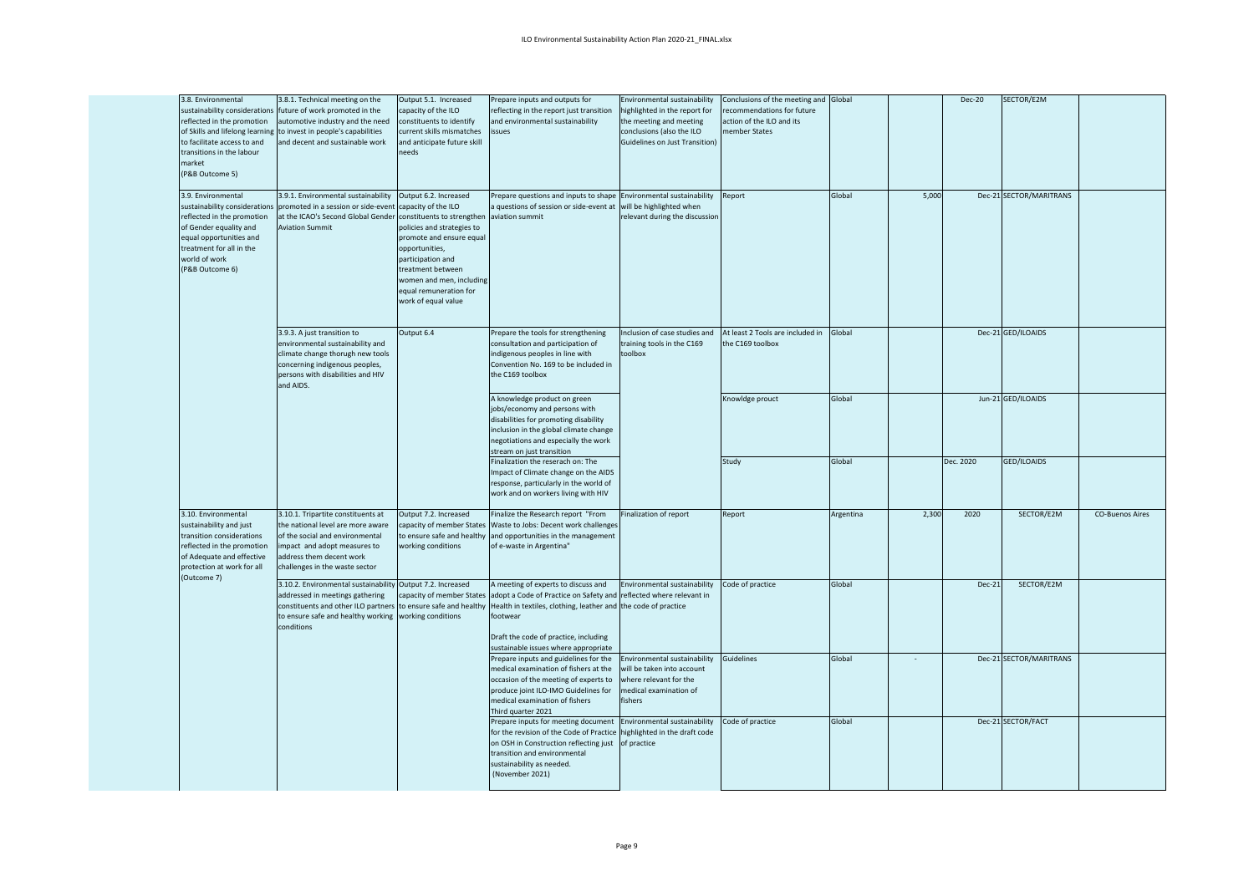| 3.8. Environmental<br>sustainability considerations<br>reflected in the promotion<br>of Skills and lifelong learning<br>to facilitate access to and<br>transitions in the labour<br>market<br>(P&B Outcome 5) | 3.8.1. Technical meeting on the<br>future of work promoted in the<br>automotive industry and the need<br>to invest in people's capabilities<br>and decent and sustainable work                                      | Output 5.1. Increased<br>capacity of the ILO<br>constituents to identify<br>current skills mismatches<br>and anticipate future skill<br>eeds                                                                                                           | Prepare inputs and outputs for<br>eflecting in the report just transition<br>and environmental sustainability<br>issues                                                                                                                                                  | Environmental sustainability<br>ighlighted in the report for<br>the meeting and meeting<br>conclusions (also the ILO<br>Guidelines on Just Transition) | Conclusions of the meeting and<br>ecommendations for future<br>action of the ILO and its<br>member States | Global    |       | <b>Dec-20</b> | SECTOR/E2M              |                        |
|---------------------------------------------------------------------------------------------------------------------------------------------------------------------------------------------------------------|---------------------------------------------------------------------------------------------------------------------------------------------------------------------------------------------------------------------|--------------------------------------------------------------------------------------------------------------------------------------------------------------------------------------------------------------------------------------------------------|--------------------------------------------------------------------------------------------------------------------------------------------------------------------------------------------------------------------------------------------------------------------------|--------------------------------------------------------------------------------------------------------------------------------------------------------|-----------------------------------------------------------------------------------------------------------|-----------|-------|---------------|-------------------------|------------------------|
| 3.9. Environmental<br>reflected in the promotion<br>of Gender equality and<br>equal opportunities and<br>treatment for all in the<br>world of work<br>(P&B Outcome 6)                                         | 3.9.1. Environmental sustainability<br>sustainability considerations promoted in a session or side-event capacity of the ILO<br>at the ICAO's Second Global Gender<br><b>Aviation Summit</b>                        | Output 6.2. Increased<br>constituents to strengthen<br>policies and strategies to<br>promote and ensure equal<br>opportunities,<br>participation and<br>treatment between<br>women and men, including<br>equal remuneration for<br>work of equal value | Prepare questions and inputs to shape Environmental sustainability<br>a questions of session or side-event at will be highlighted when<br>aviation summit                                                                                                                | relevant during the discussion                                                                                                                         | Report                                                                                                    | Global    | 5,000 |               | Dec-21 SECTOR/MARITRANS |                        |
|                                                                                                                                                                                                               | 3.9.3. A just transition to<br>environmental sustainability and<br>climate change thorugh new tools<br>concerning indigenous peoples,<br>persons with disabilities and HIV<br>and AIDS.                             | Output 6.4                                                                                                                                                                                                                                             | Prepare the tools for strengthening<br>consultation and participation of<br>indigenous peoples in line with<br>Convention No. 169 to be included in<br>the C169 toolbox                                                                                                  | Inclusion of case studies and<br>training tools in the C169<br>toolbox                                                                                 | At least 2 Tools are included in<br>the C169 toolbox                                                      | Global    |       |               | Dec-21 GED/ILOAIDS      |                        |
|                                                                                                                                                                                                               |                                                                                                                                                                                                                     |                                                                                                                                                                                                                                                        | A knowledge product on green<br>jobs/economy and persons with<br>disabilities for promoting disability<br>inclusion in the global climate change<br>negotiations and especially the work<br>stream on just transition                                                    |                                                                                                                                                        | Knowldge prouct                                                                                           | Global    |       |               | Jun-21 GED/ILOAIDS      |                        |
|                                                                                                                                                                                                               |                                                                                                                                                                                                                     |                                                                                                                                                                                                                                                        | Finalization the reserach on: The<br>Impact of Climate change on the AIDS<br>response, particularly in the world of<br>work and on workers living with HIV                                                                                                               |                                                                                                                                                        | Study                                                                                                     | Global    |       | Dec. 2020     | <b>GED/ILOAIDS</b>      |                        |
| 3.10. Environmental<br>sustainability and just<br>transition considerations<br>reflected in the promotion<br>of Adequate and effective<br>protection at work for all<br>(Outcome 7)                           | 3.10.1. Tripartite constituents at<br>the national level are more aware<br>of the social and environmental<br>impact and adopt measures to<br>address them decent work<br>challenges in the waste sector            | Output 7.2. Increased<br>capacity of member States<br>to ensure safe and healthy<br>working conditions                                                                                                                                                 | Finalize the Research report "From<br>Waste to Jobs: Decent work challenges<br>and opportunities in the management<br>of e-waste in Argentina"                                                                                                                           | Finalization of report                                                                                                                                 | Report                                                                                                    | Argentina | 2,300 | 2020          | SECTOR/E2M              | <b>CO-Buenos Aires</b> |
|                                                                                                                                                                                                               | 3.10.2. Environmental sustainability Output 7.2. Increased<br>addressed in meetings gathering<br>constituents and other ILO partners to ensure safe and healthy<br>to ensure safe and healthy working<br>conditions | capacity of member States<br>working conditions                                                                                                                                                                                                        | A meeting of experts to discuss and<br>adopt a Code of Practice on Safety and reflected where relevant in<br>Health in textiles, clothing, leather and the code of practice<br>footwear<br>Draft the code of practice, including<br>sustainable issues where appropriate | Environmental sustainability                                                                                                                           | Code of practice                                                                                          | Global    |       | Dec-21        | SECTOR/E2M              |                        |
|                                                                                                                                                                                                               |                                                                                                                                                                                                                     |                                                                                                                                                                                                                                                        | Prepare inputs and guidelines for the<br>medical examination of fishers at the<br>occasion of the meeting of experts to<br>produce joint ILO-IMO Guidelines for<br>medical examination of fishers<br>Third quarter 2021                                                  | Environmental sustainability<br>will be taken into account<br>where relevant for the<br>nedical examination of<br>fishers                              | Guidelines                                                                                                | Global    |       |               | Dec-21 SECTOR/MARITRANS |                        |
|                                                                                                                                                                                                               |                                                                                                                                                                                                                     |                                                                                                                                                                                                                                                        | Prepare inputs for meeting document Environmental sustainability<br>for the revision of the Code of Practice<br>on OSH in Construction reflecting just of practice<br>transition and environmental<br>sustainability as needed.<br>(November 2021)                       | ighlighted in the draft code                                                                                                                           | Code of practice                                                                                          | Global    |       |               | Dec-21 SECTOR/FACT      |                        |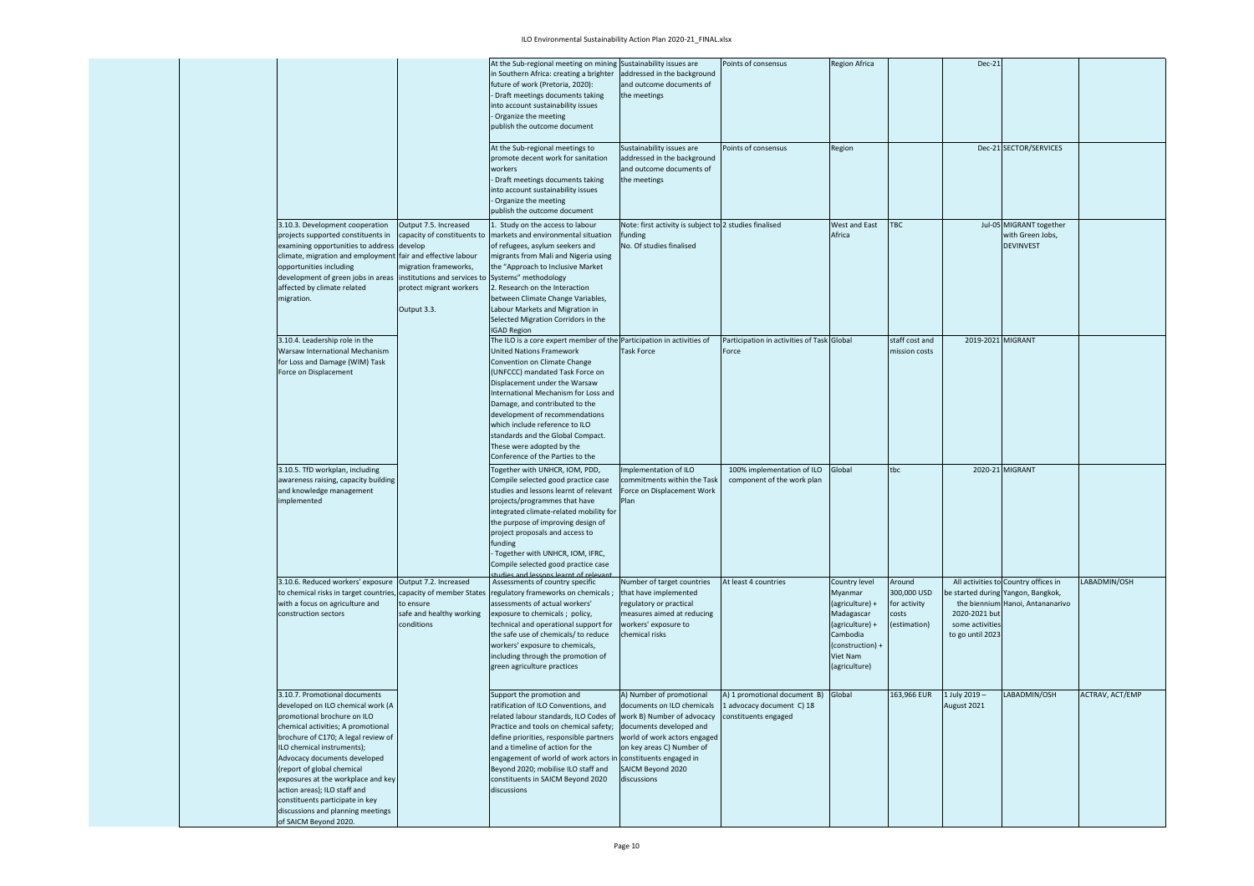## ILO Environmental Sustainability Action Plan 2020-21\_FINAL.xlsx

|  |                                                                                                                                                                                                                                                                                                                                                                                                                                                  |                                                                                                                         | At the Sub-regional meeting on mining Sustainability issues are<br>n Southern Africa: creating a brighter<br>future of work (Pretoria, 2020):<br>Draft meetings documents taking<br>into account sustainability issues<br>Organize the meeting<br>publish the outcome document                                                                                                                                                                                  | addressed in the background<br>and outcome documents of<br>the meetings                                                                                                                                       | Points of consensus                                                                      | <b>Region Africa</b>                                                                                                                      |                                                                | Dec-21                                               |                                                                                                               |                 |
|--|--------------------------------------------------------------------------------------------------------------------------------------------------------------------------------------------------------------------------------------------------------------------------------------------------------------------------------------------------------------------------------------------------------------------------------------------------|-------------------------------------------------------------------------------------------------------------------------|-----------------------------------------------------------------------------------------------------------------------------------------------------------------------------------------------------------------------------------------------------------------------------------------------------------------------------------------------------------------------------------------------------------------------------------------------------------------|---------------------------------------------------------------------------------------------------------------------------------------------------------------------------------------------------------------|------------------------------------------------------------------------------------------|-------------------------------------------------------------------------------------------------------------------------------------------|----------------------------------------------------------------|------------------------------------------------------|---------------------------------------------------------------------------------------------------------------|-----------------|
|  |                                                                                                                                                                                                                                                                                                                                                                                                                                                  |                                                                                                                         | At the Sub-regional meetings to<br>promote decent work for sanitation<br>workers<br>Draft meetings documents taking<br>into account sustainability issues<br>Organize the meeting<br>publish the outcome document                                                                                                                                                                                                                                               | Sustainability issues are<br>addressed in the background<br>and outcome documents of<br>the meetings                                                                                                          | Points of consensus                                                                      | Region                                                                                                                                    |                                                                |                                                      | Dec-21 SECTOR/SERVICES                                                                                        |                 |
|  | 3.10.3. Development cooperation<br>projects supported constituents in<br>examining opportunities to address develop<br>climate, migration and employment fair and effective labour<br>opportunities including<br>development of green jobs in areas institutions and services to Systems" methodology<br>affected by climate related<br>migration.                                                                                               | Output 7.5. Increased<br>capacity of constituents to<br>migration frameworks,<br>protect migrant workers<br>Output 3.3. | . Study on the access to labour<br>markets and environmental situation<br>of refugees, asylum seekers and<br>migrants from Mali and Nigeria using<br>the "Approach to Inclusive Market<br>2. Research on the Interaction<br>between Climate Change Variables,<br>Labour Markets and Migration in<br>Selected Migration Corridors in the<br><b>IGAD Region</b>                                                                                                   | Note: first activity is subject to 2 studies finalised<br>funding<br>No. Of studies finalised                                                                                                                 |                                                                                          | West and East<br>Africa                                                                                                                   | <b>TBC</b>                                                     |                                                      | Jul-05 MIGRANT together<br>with Green Jobs,<br><b>DEVINVEST</b>                                               |                 |
|  | 3.10.4. Leadership role in the<br>Warsaw International Mechanism<br>for Loss and Damage (WIM) Task<br>Force on Displacement                                                                                                                                                                                                                                                                                                                      |                                                                                                                         | The ILO is a core expert member of the Participation in activities of<br><b>United Nations Framework</b><br>Convention on Climate Change<br>(UNFCCC) mandated Task Force on<br>Displacement under the Warsaw<br>nternational Mechanism for Loss and<br>Damage, and contributed to the<br>development of recommendations<br>which include reference to ILO<br>standards and the Global Compact.<br>These were adopted by the<br>Conference of the Parties to the | <b>Task Force</b>                                                                                                                                                                                             | Participation in activities of Task Global<br>Force                                      |                                                                                                                                           | staff cost and<br>mission costs                                | 2019-2021 MIGRANT                                    |                                                                                                               |                 |
|  | 3.10.5. TfD workplan, including<br>awareness raising, capacity building<br>and knowledge management<br>mplemented                                                                                                                                                                                                                                                                                                                                |                                                                                                                         | Together with UNHCR, IOM, PDD,<br>Compile selected good practice case<br>studies and lessons learnt of relevant<br>projects/programmes that have<br>integrated climate-related mobility for<br>the purpose of improving design of<br>project proposals and access to<br><b>funding</b><br>Together with UNHCR, IOM, IFRC,<br>Compile selected good practice case                                                                                                | Implementation of ILO<br>commitments within the Task<br>Force on Displacement Work                                                                                                                            | 100% implementation of ILO<br>component of the work plan                                 | Global                                                                                                                                    | tbc                                                            |                                                      | 2020-21 MIGRANT                                                                                               |                 |
|  | 3.10.6. Reduced workers' exposure<br>to chemical risks in target countries,<br>with a focus on agriculture and<br>construction sectors                                                                                                                                                                                                                                                                                                           | Output 7.2. Increased<br>capacity of member States<br>to ensure<br>safe and healthy working<br>conditions               | Assessments of country specific<br>regulatory frameworks on chemicals;<br>assessments of actual workers'<br>exposure to chemicals; policy,<br>technical and operational support for<br>the safe use of chemicals/ to reduce<br>workers' exposure to chemicals,<br>including through the promotion of<br>green agriculture practices                                                                                                                             | Number of target countries<br>that have implemented<br>regulatory or practical<br>measures aimed at reducing<br>workers' exposure to<br>chemical risks                                                        | At least 4 countries                                                                     | Country level<br>Myanmar<br>(agriculture) +<br>Madagascar<br>(agriculture) +<br>Cambodia<br>(construction) +<br>Viet Nam<br>(agriculture) | Around<br>300,000 USD<br>for activity<br>costs<br>(estimation) | 2020-2021 but<br>some activities<br>to go until 2023 | All activities to Country offices in<br>e started during Yangon, Bangkok,<br>the biennium Hanoi. Antananarivo | LABADMIN/OSH    |
|  | 3.10.7. Promotional documents<br>developed on ILO chemical work (A<br>promotional brochure on ILO<br>chemical activities; A promotional<br>brochure of C170; A legal review of<br>ILO chemical instruments);<br>Advocacy documents developed<br>report of global chemical<br>exposures at the workplace and key<br>action areas); ILO staff and<br>constituents participate in key<br>discussions and planning meetings<br>of SAICM Beyond 2020. |                                                                                                                         | Support the promotion and<br>ratification of ILO Conventions, and<br>related labour standards, ILO Codes of work B) Number of advocacy<br>Practice and tools on chemical safety;<br>define priorities, responsible partners<br>and a timeline of action for the<br>engagement of world of work actors ir<br>Beyond 2020; mobilise ILO staff and<br>constituents in SAICM Beyond 2020<br>discussions                                                             | A) Number of promotional<br>documents on ILO chemicals<br>documents developed and<br>world of work actors engaged<br>on key areas C) Number of<br>constituents engaged in<br>SAICM Beyond 2020<br>discussions | A) 1 promotional document B) Global<br>1 advocacy document C) 18<br>constituents engaged |                                                                                                                                           | 163,966 EUR                                                    | 1 July 2019-<br>August 2021                          | LABADMIN/OSH                                                                                                  | ACTRAV, ACT/EMP |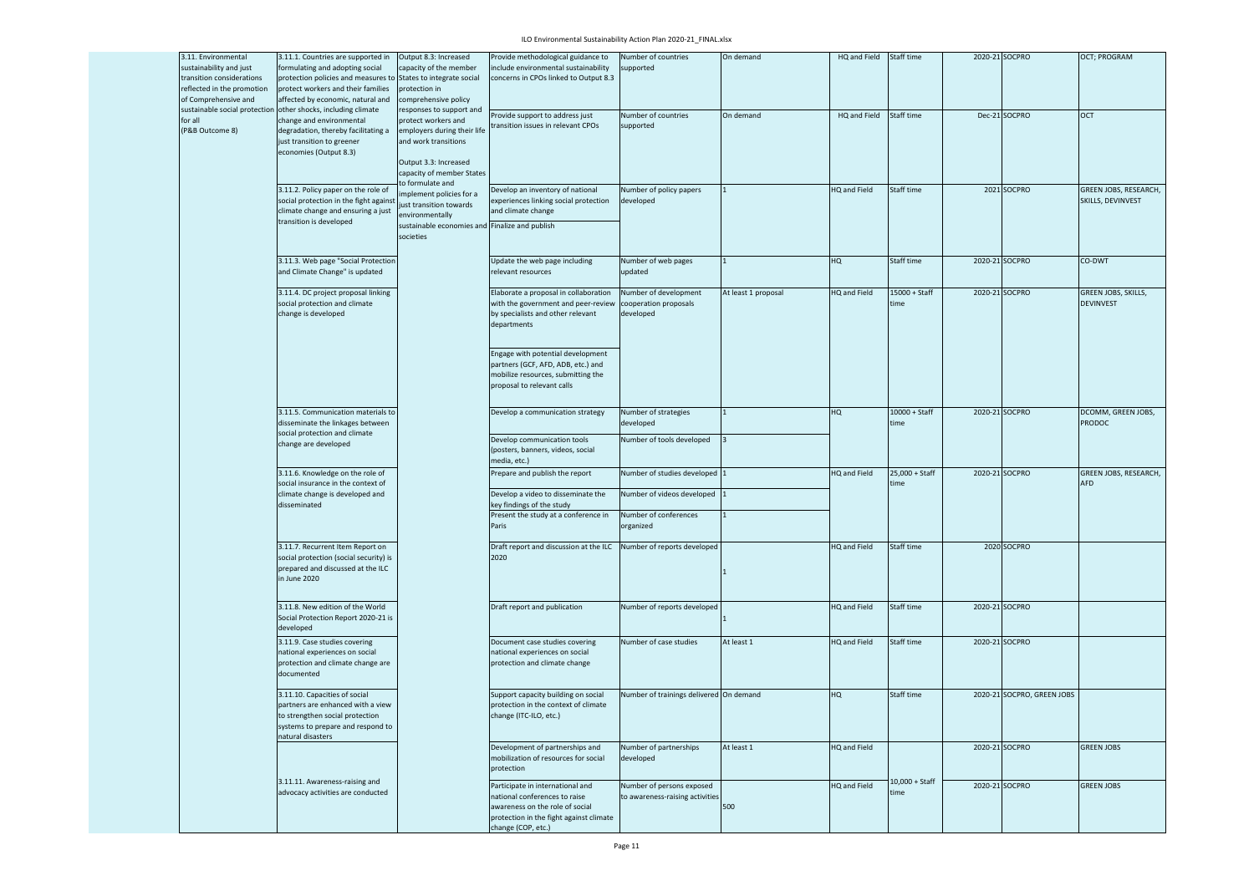## ILO Environmental Sustainability Action Plan 2020-21\_FINAL.xlsx

| 3.11. Environmental<br>sustainability and just<br>transition considerations<br>reflected in the promotion<br>of Comprehensive and | 3.11.1. Countries are supported in<br>formulating and adopting social<br>protection policies and measures to States to integrate social<br>protect workers and their families<br>affected by economic, natural and | Output 8.3: Increased<br>capacity of the member<br>protection in<br>comprehensive policy                                                                                        | Provide methodological guidance to<br>include environmental sustainability<br>concerns in CPOs linked to Output 8.3                                                                                                                               | Number of countries<br>supported                             | On demand           | HQ and Field        | Staff time              |                | 2020-21 SOCPRO             | OCT; PROGRAM                                      |
|-----------------------------------------------------------------------------------------------------------------------------------|--------------------------------------------------------------------------------------------------------------------------------------------------------------------------------------------------------------------|---------------------------------------------------------------------------------------------------------------------------------------------------------------------------------|---------------------------------------------------------------------------------------------------------------------------------------------------------------------------------------------------------------------------------------------------|--------------------------------------------------------------|---------------------|---------------------|-------------------------|----------------|----------------------------|---------------------------------------------------|
| for all<br>(P&B Outcome 8)                                                                                                        | sustainable social protection other shocks, including climate<br>change and environmental<br>degradation, thereby facilitating a<br>just transition to greener<br>economies (Output 8.3)                           | responses to support and<br>protect workers and<br>employers during their life<br>and work transitions<br>Output 3.3: Increased<br>capacity of member States<br>o formulate and | Provide support to address just<br>ransition issues in relevant CPOs                                                                                                                                                                              | Number of countries<br>supported                             | On demand           | HQ and Field        | Staff time              |                | Dec-21 SOCPRO              | OCT                                               |
|                                                                                                                                   | 3.11.2. Policy paper on the role of<br>social protection in the fight against<br>climate change and ensuring a just<br>transition is developed                                                                     | mplement policies for a<br>ust transition towards<br>environmentally<br>sustainable economies and Finalize and publish<br>societies                                             | Develop an inventory of national<br>experiences linking social protection<br>and climate change                                                                                                                                                   | Number of policy papers<br>developed                         |                     | <b>IQ and Field</b> | Staff time              |                | 2021 SOCPRO                | <b>GREEN JOBS, RESEARCH,</b><br>SKILLS, DEVINVEST |
|                                                                                                                                   | 3.11.3. Web page "Social Protection<br>and Climate Change" is updated                                                                                                                                              |                                                                                                                                                                                 | Update the web page including<br>relevant resources                                                                                                                                                                                               | Number of web pages<br>updated                               |                     | HQ                  | Staff time              |                | 2020-21 SOCPRO             | CO-DWT                                            |
|                                                                                                                                   | 3.11.4. DC project proposal linking<br>social protection and climate<br>change is developed                                                                                                                        |                                                                                                                                                                                 | Elaborate a proposal in collaboration<br>with the government and peer-review<br>by specialists and other relevant<br>departments<br>Engage with potential development<br>partners (GCF, AFD, ADB, etc.) and<br>mobilize resources, submitting the | Number of development<br>cooperation proposals<br>developed  | At least 1 proposal | <b>IQ</b> and Field | 15000 + Staff<br>time   |                | 2020-21 SOCPRO             | <b>GREEN JOBS, SKILLS,</b><br><b>DEVINVEST</b>    |
|                                                                                                                                   |                                                                                                                                                                                                                    |                                                                                                                                                                                 | proposal to relevant calls                                                                                                                                                                                                                        |                                                              |                     |                     |                         |                |                            |                                                   |
|                                                                                                                                   | 3.11.5. Communication materials to<br>disseminate the linkages between<br>social protection and climate                                                                                                            |                                                                                                                                                                                 | Develop a communication strategy                                                                                                                                                                                                                  | Number of strategies<br>developed                            |                     | HQ                  | $10000 + Staff$<br>time | 2020-21 SOCPRO |                            | DCOMM, GREEN JOBS,<br><b>PRODOC</b>               |
|                                                                                                                                   | change are developed                                                                                                                                                                                               |                                                                                                                                                                                 | Develop communication tools<br>(posters, banners, videos, social<br>media, etc.)                                                                                                                                                                  | Number of tools developed                                    |                     |                     |                         |                |                            |                                                   |
|                                                                                                                                   | 3.11.6. Knowledge on the role of<br>social insurance in the context of                                                                                                                                             |                                                                                                                                                                                 | Prepare and publish the report                                                                                                                                                                                                                    | Number of studies developed                                  |                     | HQ and Field        | 25,000 + Staff<br>:ime  | 2020-21 SOCPRO |                            | GREEN JOBS, RESEARCH,<br><b>AFD</b>               |
|                                                                                                                                   | climate change is developed and<br>disseminated                                                                                                                                                                    |                                                                                                                                                                                 | Develop a video to disseminate the<br>key findings of the study<br>Present the study at a conference in                                                                                                                                           | Number of videos developed<br>Number of conferences          |                     |                     |                         |                |                            |                                                   |
|                                                                                                                                   |                                                                                                                                                                                                                    |                                                                                                                                                                                 | Paris                                                                                                                                                                                                                                             | organized                                                    |                     |                     |                         |                |                            |                                                   |
|                                                                                                                                   | 3.11.7. Recurrent Item Report on<br>social protection (social security) is<br>prepared and discussed at the ILC<br>in June 2020                                                                                    |                                                                                                                                                                                 | Draft report and discussion at the ILC Number of reports developed<br>2020                                                                                                                                                                        |                                                              |                     | <b>IQ</b> and Field | Staff time              |                | 2020 SOCPRO                |                                                   |
|                                                                                                                                   | 3.11.8. New edition of the World<br>Social Protection Report 2020-21 is<br>developed                                                                                                                               |                                                                                                                                                                                 | Draft report and publication                                                                                                                                                                                                                      | Number of reports developed                                  |                     | HQ and Field        | Staff time              |                | 2020-21 SOCPRO             |                                                   |
|                                                                                                                                   | 3.11.9. Case studies covering<br>national experiences on social<br>protection and climate change are<br>documented                                                                                                 |                                                                                                                                                                                 | Document case studies covering<br>national experiences on social<br>protection and climate change                                                                                                                                                 | Number of case studies                                       | At least 1          | HQ and Field        | Staff time              |                | 2020-21 SOCPRO             |                                                   |
|                                                                                                                                   | 3.11.10. Capacities of social<br>partners are enhanced with a view<br>to strengthen social protection<br>systems to prepare and respond to<br>natural disasters                                                    |                                                                                                                                                                                 | Support capacity building on social<br>protection in the context of climate<br>hange (ITC-ILO, etc.)                                                                                                                                              | Number of trainings delivered On demand                      |                     | HQ                  | Staff time              |                | 2020-21 SOCPRO, GREEN JOBS |                                                   |
|                                                                                                                                   |                                                                                                                                                                                                                    |                                                                                                                                                                                 | Development of partnerships and<br>mobilization of resources for social<br>protection                                                                                                                                                             | Number of partnerships<br>developed                          | At least 1          | HQ and Field        |                         |                | 2020-21 SOCPRO             | <b>GREEN JOBS</b>                                 |
|                                                                                                                                   | 3.11.11. Awareness-raising and<br>advocacy activities are conducted                                                                                                                                                |                                                                                                                                                                                 | Participate in international and<br>national conferences to raise<br>awareness on the role of social<br>protection in the fight against climate<br>change (COP, etc.)                                                                             | Number of persons exposed<br>to awareness-raising activities | 500                 | <b>HQ</b> and Field | 10,000 + Staff<br>ime   |                | 2020-21 SOCPRO             | <b>GREEN JOBS</b>                                 |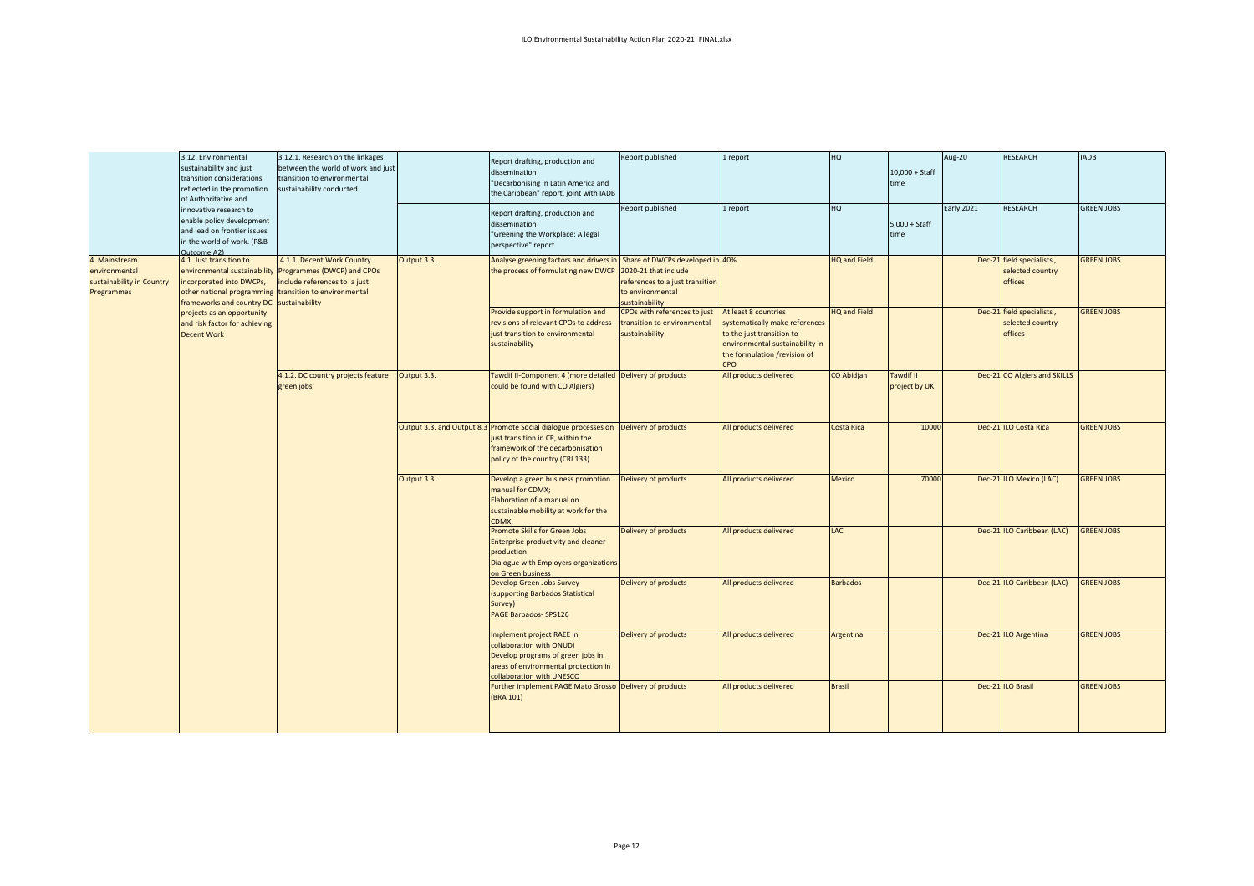|                                                                           | 3.12. Environmental<br>sustainability and just<br>transition considerations<br>reflected in the promotion<br>of Authoritative and                                                         | 3.12.1. Research on the linkages<br>between the world of work and just<br>transition to environmental<br>sustainability conducted |             | Report drafting, production and<br>dissemination<br>"Decarbonising in Latin America and<br>the Caribbean" report, joint with IADB                                           | Report published                                                                                                                 | 1 report                                                                                                                                                             | HQ                  | $10,000 +$ Staff<br>time          | Aug-20     | <b>RESEARCH</b>                                          | <b>IADB</b>       |
|---------------------------------------------------------------------------|-------------------------------------------------------------------------------------------------------------------------------------------------------------------------------------------|-----------------------------------------------------------------------------------------------------------------------------------|-------------|-----------------------------------------------------------------------------------------------------------------------------------------------------------------------------|----------------------------------------------------------------------------------------------------------------------------------|----------------------------------------------------------------------------------------------------------------------------------------------------------------------|---------------------|-----------------------------------|------------|----------------------------------------------------------|-------------------|
|                                                                           | innovative research to<br>enable policy development<br>and lead on frontier issues<br>in the world of work. (P&B<br>Outcome A2)                                                           |                                                                                                                                   |             | Report drafting, production and<br>dissemination<br>"Greening the Workplace: A legal<br>perspective" report                                                                 | Report published                                                                                                                 | 1 report                                                                                                                                                             | HQ                  | $5,000 + Start$<br>time           | Early 2021 | RESEARCH                                                 | <b>GREEN JOBS</b> |
| 4. Mainstream<br>environmental<br>sustainability in Country<br>Programmes | 4.1. Just transition to<br>environmental sustainability<br>incorporated into DWCPs,<br>other national programming transition to environmental<br>frameworks and country DC sustainability | 4.1.1. Decent Work Country<br>Programmes (DWCP) and CPOs<br>include references to a just                                          | Output 3.3. | Analyse greening factors and drivers in<br>the process of formulating new DWCP                                                                                              | Share of DWCPs developed in 40%<br>2020-21 that include<br>references to a just transition<br>to environmental<br>sustainability |                                                                                                                                                                      | <b>HQ and Field</b> |                                   |            | Dec-21 field specialists,<br>selected country<br>offices | <b>GREEN JOBS</b> |
|                                                                           | projects as an opportunity<br>and risk factor for achieving<br><b>Decent Work</b>                                                                                                         |                                                                                                                                   |             | Provide support in formulation and<br>revisions of relevant CPOs to address<br>just transition to environmental<br>sustainability                                           | CPOs with references to just<br>transition to environmental<br>sustainability                                                    | At least 8 countries<br>systematically make references<br>to the just transition to<br>environmental sustainability in<br>the formulation /revision of<br><b>CPO</b> | <b>HQ and Field</b> |                                   |            | Dec-21 field specialists,<br>selected country<br>offices | <b>GREEN JOBS</b> |
|                                                                           |                                                                                                                                                                                           | 4.1.2. DC country projects feature<br>green jobs                                                                                  | Output 3.3. | Tawdif II-Component 4 (more detailed Delivery of products<br>could be found with CO Algiers)                                                                                |                                                                                                                                  | All products delivered                                                                                                                                               | <b>CO Abidjan</b>   | <b>Tawdif II</b><br>project by UK |            | Dec-21 CO Algiers and SKILLS                             |                   |
|                                                                           |                                                                                                                                                                                           |                                                                                                                                   |             | Output 3.3. and Output 8.3 Promote Social dialogue processes on<br>just transition in CR, within the<br>framework of the decarbonisation<br>policy of the country (CRI 133) | Delivery of products                                                                                                             | All products delivered                                                                                                                                               | Costa Rica          | 10000                             |            | Dec-21 ILO Costa Rica                                    | <b>GREEN JOBS</b> |
|                                                                           |                                                                                                                                                                                           |                                                                                                                                   | Output 3.3. | Develop a green business promotion<br>manual for CDMX;<br>Elaboration of a manual on<br>sustainable mobility at work for the<br>CDMX:                                       | Delivery of products                                                                                                             | All products delivered                                                                                                                                               | <b>Mexico</b>       | 70000                             |            | Dec-21 ILO Mexico (LAC)                                  | <b>GREEN JOBS</b> |
|                                                                           |                                                                                                                                                                                           |                                                                                                                                   |             | Promote Skills for Green Jobs<br><b>Enterprise productivity and cleaner</b><br>production<br>Dialogue with Employers organizations<br>on Green business                     | Delivery of products                                                                                                             | All products delivered                                                                                                                                               | LAC                 |                                   |            | Dec-21 ILO Caribbean (LAC)                               | <b>GREEN JOBS</b> |
|                                                                           |                                                                                                                                                                                           |                                                                                                                                   |             | Develop Green Jobs Survey<br>(supporting Barbados Statistical<br>Survey)<br>PAGE Barbados- SPS126                                                                           | Delivery of products                                                                                                             | All products delivered                                                                                                                                               | <b>Barbados</b>     |                                   |            | Dec-21 ILO Caribbean (LAC)                               | <b>GREEN JOBS</b> |
|                                                                           |                                                                                                                                                                                           |                                                                                                                                   |             | Implement project RAEE in<br>collaboration with ONUDI<br>Develop programs of green jobs in<br>areas of environmental protection in<br>collaboration with UNESCO             | Delivery of products                                                                                                             | All products delivered                                                                                                                                               | Argentina           |                                   |            | Dec-21 ILO Argentina                                     | <b>GREEN JOBS</b> |
|                                                                           |                                                                                                                                                                                           |                                                                                                                                   |             | Further implement PAGE Mato Grosso Delivery of products<br>(BRA 101)                                                                                                        |                                                                                                                                  | All products delivered                                                                                                                                               | <b>Brasil</b>       |                                   |            | Dec-21 ILO Brasil                                        | <b>GREEN JOBS</b> |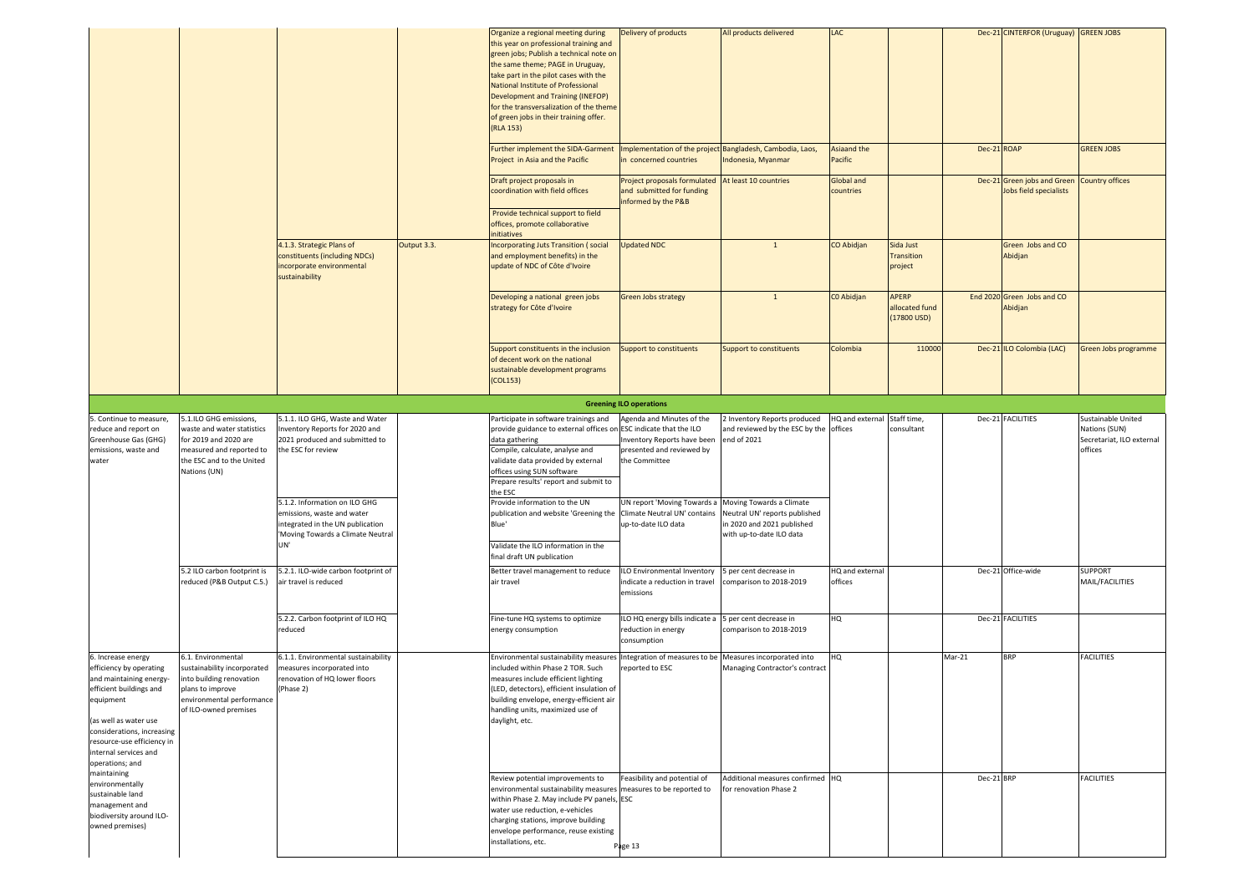|                                                                                                                                                                                                                                                   |                                                                                                                                                         |                                                                                                                                            |             | Organize a regional meeting during<br>this year on professional training and<br>green jobs; Publish a technical note on<br>the same theme; PAGE in Uruguay,<br>take part in the pilot cases with the<br>National Institute of Professional<br>Development and Training (INEFOP)<br>for the transversalization of the theme<br>of green jobs in their training offer.<br>(RLA 153) | Delivery of products                                                                                   | All products delivered                                                                                              | LAC                            |                                                  |             | Dec-21 CINTERFOR (Uruguay) GREEN JOBS                 |                                                       |
|---------------------------------------------------------------------------------------------------------------------------------------------------------------------------------------------------------------------------------------------------|---------------------------------------------------------------------------------------------------------------------------------------------------------|--------------------------------------------------------------------------------------------------------------------------------------------|-------------|-----------------------------------------------------------------------------------------------------------------------------------------------------------------------------------------------------------------------------------------------------------------------------------------------------------------------------------------------------------------------------------|--------------------------------------------------------------------------------------------------------|---------------------------------------------------------------------------------------------------------------------|--------------------------------|--------------------------------------------------|-------------|-------------------------------------------------------|-------------------------------------------------------|
|                                                                                                                                                                                                                                                   |                                                                                                                                                         |                                                                                                                                            |             | Further implement the SIDA-Garment<br>Project in Asia and the Pacific                                                                                                                                                                                                                                                                                                             | Implementation of the project Bangladesh, Cambodia, Laos,<br>n concerned countries                     | ndonesia, Myanmar                                                                                                   | <b>Asiaand the</b><br>Pacific  |                                                  | Dec-21 ROAP |                                                       | <b>GREEN JOBS</b>                                     |
|                                                                                                                                                                                                                                                   |                                                                                                                                                         |                                                                                                                                            |             | Draft project proposals in<br>coordination with field offices                                                                                                                                                                                                                                                                                                                     | Project proposals formulated<br>and submitted for funding<br>informed by the P&B                       | At least 10 countries                                                                                               | <b>Global and</b><br>countries |                                                  |             | Dec-21 Green jobs and Green<br>Jobs field specialists | <b>Country offices</b>                                |
|                                                                                                                                                                                                                                                   |                                                                                                                                                         |                                                                                                                                            |             | Provide technical support to field<br>offices, promote collaborative<br>nitiatives                                                                                                                                                                                                                                                                                                |                                                                                                        |                                                                                                                     |                                |                                                  |             |                                                       |                                                       |
|                                                                                                                                                                                                                                                   |                                                                                                                                                         | 4.1.3. Strategic Plans of<br>constituents (including NDCs)<br>incorporate environmental<br>sustainability                                  | Output 3.3. | Incorporating Juts Transition (social<br>and employment benefits) in the<br>update of NDC of Côte d'Ivoire                                                                                                                                                                                                                                                                        | <b>Updated NDC</b>                                                                                     | $\mathbf{1}$                                                                                                        | CO Abidjan                     | Sida Just<br>Transition<br>project               |             | Green Jobs and CO<br>Abidjan                          |                                                       |
|                                                                                                                                                                                                                                                   |                                                                                                                                                         |                                                                                                                                            |             | Developing a national green jobs<br>strategy for Côte d'Ivoire                                                                                                                                                                                                                                                                                                                    | <b>Green Jobs strategy</b>                                                                             | $\mathbf{1}$                                                                                                        | C0 Abidjan                     | APERP<br>allocated fund<br>$(17800 \text{ USD})$ |             | End 2020 Green Jobs and CO<br>Abidjan                 |                                                       |
|                                                                                                                                                                                                                                                   |                                                                                                                                                         |                                                                                                                                            |             | Support constituents in the inclusion<br>of decent work on the national<br>sustainable development programs<br>(COL153)                                                                                                                                                                                                                                                           | Support to constituents                                                                                | Support to constituents                                                                                             | Colombia                       | 110000                                           |             | Dec-21 ILO Colombia (LAC)                             | Green Jobs programme                                  |
|                                                                                                                                                                                                                                                   |                                                                                                                                                         |                                                                                                                                            |             |                                                                                                                                                                                                                                                                                                                                                                                   | <b>Greening ILO operations</b>                                                                         |                                                                                                                     |                                |                                                  |             |                                                       |                                                       |
| 5. Continue to measure,                                                                                                                                                                                                                           | 5.1.ILO GHG emissions,                                                                                                                                  | 5.1.1. ILO GHG, Waste and Water                                                                                                            |             | Participate in software trainings and                                                                                                                                                                                                                                                                                                                                             | Agenda and Minutes of the                                                                              | Inventory Reports produced                                                                                          | IQ and external                | Staff time,                                      |             | Dec-21 FACILITIES                                     | Sustainable United                                    |
| reduce and report on<br>Greenhouse Gas (GHG)<br>emissions, waste and<br>water                                                                                                                                                                     | waste and water statistics<br>for 2019 and 2020 are<br>measured and reported to<br>the ESC and to the United<br>Nations (UN)                            | Inventory Reports for 2020 and<br>2021 produced and submitted to<br>the ESC for review                                                     |             | provide guidance to external offices on<br>data gathering<br>Compile, calculate, analyse and<br>validate data provided by external<br>offices using SUN software<br>Prepare results' report and submit to<br>the ESC                                                                                                                                                              | ESC indicate that the ILO<br>Inventory Reports have been<br>presented and reviewed by<br>the Committee | and reviewed by the ESC by the offices<br>end of 2021                                                               |                                | consultant                                       |             |                                                       | Nations (SUN)<br>Secretariat, ILO external<br>offices |
|                                                                                                                                                                                                                                                   |                                                                                                                                                         | 5.1.2. Information on ILO GHG<br>emissions, waste and water<br>integrated in the UN publication<br>Moving Towards a Climate Neutral<br>UN' |             | Provide information to the UN<br>publication and website 'Greening the Climate Neutral UN' contains<br>Blue'<br>Validate the ILO information in the                                                                                                                                                                                                                               | UN report 'Moving Towards a<br>up-to-date ILO data                                                     | Moving Towards a Climate<br>Neutral UN' reports published<br>in 2020 and 2021 published<br>with up-to-date ILO data |                                |                                                  |             |                                                       |                                                       |
|                                                                                                                                                                                                                                                   |                                                                                                                                                         |                                                                                                                                            |             | final draft UN publication                                                                                                                                                                                                                                                                                                                                                        |                                                                                                        |                                                                                                                     |                                |                                                  |             |                                                       |                                                       |
|                                                                                                                                                                                                                                                   | 5.2 ILO carbon footprint is<br>reduced (P&B Output C.5.)                                                                                                | 5.2.1. ILO-wide carbon footprint of<br>air travel is reduced                                                                               |             | Better travel management to reduce<br>air travel                                                                                                                                                                                                                                                                                                                                  | ILO Environmental Inventory<br>indicate a reduction in travel<br>emissions                             | b per cent decrease in<br>omparison to 2018-2019                                                                    | HQ and external<br>offices     |                                                  |             | Dec-21 Office-wide                                    | <b>SUPPORT</b><br>MAIL/FACILITIES                     |
|                                                                                                                                                                                                                                                   |                                                                                                                                                         | 5.2.2. Carbon footprint of ILO HQ<br>reduced                                                                                               |             | Fine-tune HQ systems to optimize<br>energy consumption                                                                                                                                                                                                                                                                                                                            | ILO HQ energy bills indicate a<br>reduction in energy<br>consumption                                   | 5 per cent decrease in<br>comparison to 2018-2019                                                                   | HQ                             |                                                  |             | Dec-21 FACILITIES                                     |                                                       |
| 6. Increase energy<br>efficiency by operating<br>and maintaining energy-<br>efficient buildings and<br>equipment<br>(as well as water use<br>considerations, increasing<br>resource-use efficiency in<br>internal services and<br>operations; and | 6.1. Environmental<br>sustainability incorporated<br>into building renovation<br>plans to improve<br>environmental performance<br>of ILO-owned premises | 6.1.1. Environmental sustainability<br>measures incorporated into<br>renovation of HQ lower floors<br>(Phase 2)                            |             | Environmental sustainability measure<br>ncluded within Phase 2 TOR. Such<br>measures include efficient lighting<br>(LED, detectors), efficient insulation of<br>building envelope, energy-efficient air<br>handling units, maximized use of<br>daylight, etc.                                                                                                                     | Integration of measures to be<br>reported to ESC                                                       | Measures incorporated into<br>Managing Contractor's contract                                                        | HQ                             |                                                  | Mar-21      | <b>BRP</b>                                            | <b>FACILITIES</b>                                     |
| maintaining<br>environmentally<br>sustainable land<br>management and<br>biodiversity around ILO-<br>owned premises)                                                                                                                               |                                                                                                                                                         |                                                                                                                                            |             | Review potential improvements to<br>environmental sustainability measures<br>within Phase 2. May include PV panels, ESC<br>water use reduction, e-vehicles<br>charging stations, improve building<br>envelope performance, reuse existing<br>installations, etc.                                                                                                                  | Feasibility and potential of<br>measures to be reported to<br>Page 13                                  | Additional measures confirmed HQ<br>for renovation Phase 2                                                          |                                |                                                  | Dec-21 BRP  |                                                       | <b>FACILITIES</b>                                     |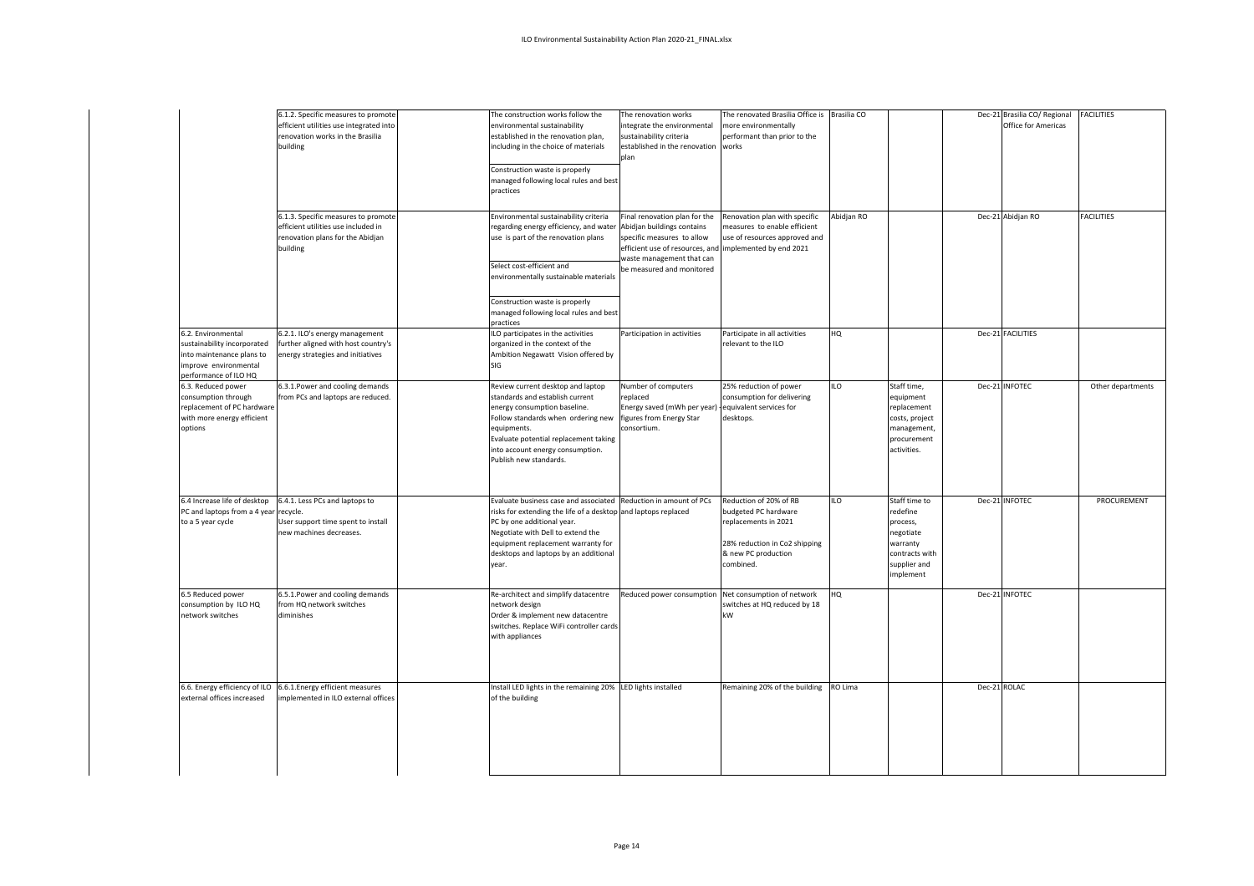|                                                                                                                                  | 6.1.2. Specific measures to promote<br>efficient utilities use integrated into<br>renovation works in the Brasilia<br>building<br>6.1.3. Specific measures to promote | The construction works follow the<br>environmental sustainability<br>established in the renovation plan,<br>including in the choice of materials<br>Construction waste is properly<br>managed following local rules and best<br>practices<br>Environmental sustainability criteria            | The renovation works<br>integrate the environmental<br>sustainability criteria<br>established in the renovation<br>plan<br>Final renovation plan for the                      | The renovated Brasilia Office is Brasilia CO<br>nore environmentally<br>performant than prior to the<br>works<br>Renovation plan with specific | Abidjan RO |                                                                                                               | Dec-21 Brasilia CO/ Regional<br>Office for Americas<br>Dec-21 Abidjan RO | <b>FACILITIES</b><br><b>FACILITIES</b> |
|----------------------------------------------------------------------------------------------------------------------------------|-----------------------------------------------------------------------------------------------------------------------------------------------------------------------|-----------------------------------------------------------------------------------------------------------------------------------------------------------------------------------------------------------------------------------------------------------------------------------------------|-------------------------------------------------------------------------------------------------------------------------------------------------------------------------------|------------------------------------------------------------------------------------------------------------------------------------------------|------------|---------------------------------------------------------------------------------------------------------------|--------------------------------------------------------------------------|----------------------------------------|
|                                                                                                                                  | efficient utilities use included in<br>renovation plans for the Abidjan<br>building                                                                                   | regarding energy efficiency, and water<br>use is part of the renovation plans<br>Select cost-efficient and<br>environmentally sustainable materials<br>Construction waste is properly<br>managed following local rules and best<br>practices                                                  | Abidjan buildings contains<br>specific measures to allow<br>efficient use of resources, and implemented by end 2021<br>waste management that can<br>be measured and monitored | neasures to enable efficient<br>use of resources approved and                                                                                  |            |                                                                                                               |                                                                          |                                        |
| 6.2. Environmental<br>sustainability incorporated<br>into maintenance plans to<br>improve environmental<br>performance of ILO HQ | 6.2.1. ILO's energy management<br>further aligned with host country's<br>energy strategies and initiatives                                                            | ILO participates in the activities<br>organized in the context of the<br>Ambition Negawatt Vision offered by<br>SIG                                                                                                                                                                           | Participation in activities                                                                                                                                                   | Participate in all activities<br>relevant to the ILO                                                                                           | HQ         |                                                                                                               | Dec-21 FACILITIES                                                        |                                        |
| 6.3. Reduced power<br>consumption through<br>replacement of PC hardware<br>with more energy efficient<br>options                 | 6.3.1. Power and cooling demands<br>from PCs and laptops are reduced.                                                                                                 | Review current desktop and laptop<br>standards and establish current<br>energy consumption baseline.<br>Follow standards when ordering new<br>equipments.<br>Evaluate potential replacement taking<br>into account energy consumption.<br>Publish new standards.                              | Number of computers<br>replaced<br>Energy saved (mWh per year)<br>figures from Energy Star<br>consortium.                                                                     | 25% reduction of power<br>consumption for delivering<br>equivalent services for<br>desktops.                                                   | <b>ILO</b> | Staff time,<br>equipment<br>replacement<br>costs, project<br>management,<br>procurement<br>activities.        | Dec-21 INFOTEC                                                           | Other departments                      |
| 6.4 Increase life of desktop<br>PC and laptops from a 4 year<br>to a 5 year cycle                                                | 6.4.1. Less PCs and laptops to<br>recycle.<br>User support time spent to install<br>new machines decreases.                                                           | Evaluate business case and associated Reduction in amount of PCs<br>risks for extending the life of a desktop and laptops replaced<br>PC by one additional year.<br>Negotiate with Dell to extend the<br>equipment replacement warranty for<br>desktops and laptops by an additional<br>year. |                                                                                                                                                                               | Reduction of 20% of RB<br>budgeted PC hardware<br>replacements in 2021<br>28% reduction in Co2 shipping<br>& new PC production<br>combined.    | <b>ILO</b> | Staff time to<br>redefine<br>process,<br>negotiate<br>warranty<br>contracts with<br>supplier and<br>implement | Dec-21 INFOTEC                                                           | PROCUREMENT                            |
| 6.5 Reduced power<br>consumption by ILO HQ<br>network switches                                                                   | 6.5.1. Power and cooling demands<br>from HQ network switches<br>diminishes                                                                                            | Re-architect and simplify datacentre<br>network design<br>Order & implement new datacentre<br>switches. Replace WiFi controller cards<br>with appliances                                                                                                                                      | Reduced power consumption                                                                                                                                                     | Net consumption of network<br>switches at HQ reduced by 18<br>kW                                                                               | HQ         |                                                                                                               | Dec-21 INFOTEC                                                           |                                        |
| 6.6. Energy efficiency of ILO<br>external offices increased                                                                      | 6.6.1. Energy efficient measures<br>implemented in ILO external offices                                                                                               | Install LED lights in the remaining 20% LED lights installed<br>of the building                                                                                                                                                                                                               |                                                                                                                                                                               | Remaining 20% of the building                                                                                                                  | RO Lima    |                                                                                                               | Dec-21 ROLAC                                                             |                                        |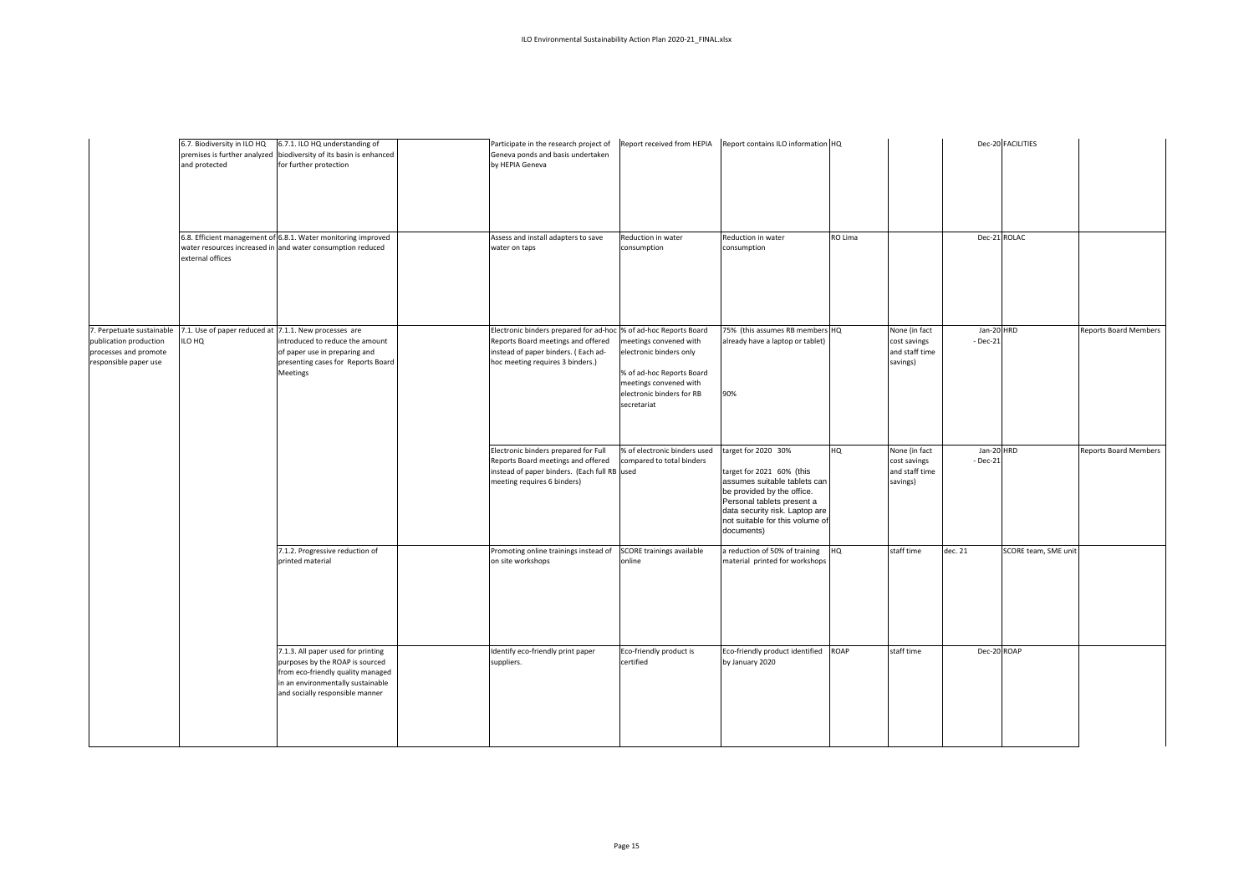|                                                                                                       | 6.7. Biodiversity in ILO HQ<br>and protected                    | 6.7.1. ILO HQ understanding of<br>premises is further analyzed biodiversity of its basin is enhanced<br>for further protection<br>6.8. Efficient management of 6.8.1. Water monitoring improved | Participate in the research project of<br>Geneva ponds and basis undertaken<br>by HEPIA Geneva<br>Assess and install adapters to save                     | Report received from HEPIA<br>Reduction in water                                                                                                                                  | Report contains ILO information HQ<br>Reduction in water                                                                                                                                                                        | RO Lima |                                                             | Dec-21 ROLAC                | Dec-20 FACILITIES    |                              |
|-------------------------------------------------------------------------------------------------------|-----------------------------------------------------------------|-------------------------------------------------------------------------------------------------------------------------------------------------------------------------------------------------|-----------------------------------------------------------------------------------------------------------------------------------------------------------|-----------------------------------------------------------------------------------------------------------------------------------------------------------------------------------|---------------------------------------------------------------------------------------------------------------------------------------------------------------------------------------------------------------------------------|---------|-------------------------------------------------------------|-----------------------------|----------------------|------------------------------|
|                                                                                                       | external offices                                                | water resources increased in and water consumption reduced                                                                                                                                      | water on taps                                                                                                                                             | consumption                                                                                                                                                                       | consumption                                                                                                                                                                                                                     |         |                                                             |                             |                      |                              |
| 7. Perpetuate sustainable<br>publication production<br>processes and promote<br>responsible paper use | 7.1. Use of paper reduced at 7.1.1. New processes are<br>ILO HQ | introduced to reduce the amount<br>of paper use in preparing and<br>presenting cases for Reports Board<br>Meetings                                                                              | Electronic binders prepared for ad-hoc<br>Reports Board meetings and offered<br>instead of paper binders. (Each ad-<br>hoc meeting requires 3 binders.)   | % of ad-hoc Reports Board<br>meetings convened with<br>electronic binders only<br>% of ad-hoc Reports Board<br>meetings convened with<br>electronic binders for RB<br>secretariat | 75% (this assumes RB members HQ<br>already have a laptop or tablet)<br>90%                                                                                                                                                      |         | None (in fact<br>cost savings<br>and staff time<br>savings) | Jan-20 HRD<br>$-$ Dec $-21$ |                      | Reports Board Members        |
|                                                                                                       |                                                                 |                                                                                                                                                                                                 | Electronic binders prepared for Full<br>Reports Board meetings and offered<br>instead of paper binders. (Each full RB used<br>meeting requires 6 binders) | % of electronic binders used<br>compared to total binders                                                                                                                         | target for 2020 30%<br>target for 2021 60% (this<br>assumes suitable tablets can<br>be provided by the office.<br>Personal tablets present a<br>data security risk. Laptop are<br>not suitable for this volume of<br>documents) | HQ      | None (in fact<br>cost savings<br>and staff time<br>savings) | Jan-20 HRD<br>$-$ Dec $-21$ |                      | <b>Reports Board Members</b> |
|                                                                                                       |                                                                 | 7.1.2. Progressive reduction of                                                                                                                                                                 |                                                                                                                                                           |                                                                                                                                                                                   |                                                                                                                                                                                                                                 |         |                                                             |                             |                      |                              |
|                                                                                                       |                                                                 | printed material<br>7.1.3. All paper used for printing                                                                                                                                          | Promoting online trainings instead of<br>on site workshops<br>Identify eco-friendly print paper                                                           | SCORE trainings available<br>online<br>Eco-friendly product is                                                                                                                    | a reduction of 50% of training<br>material printed for workshops<br>Eco-friendly product identified ROAP                                                                                                                        | HQ      | staff time<br>staff time                                    | dec. 21<br>Dec-20 ROAP      | SCORE team, SME unit |                              |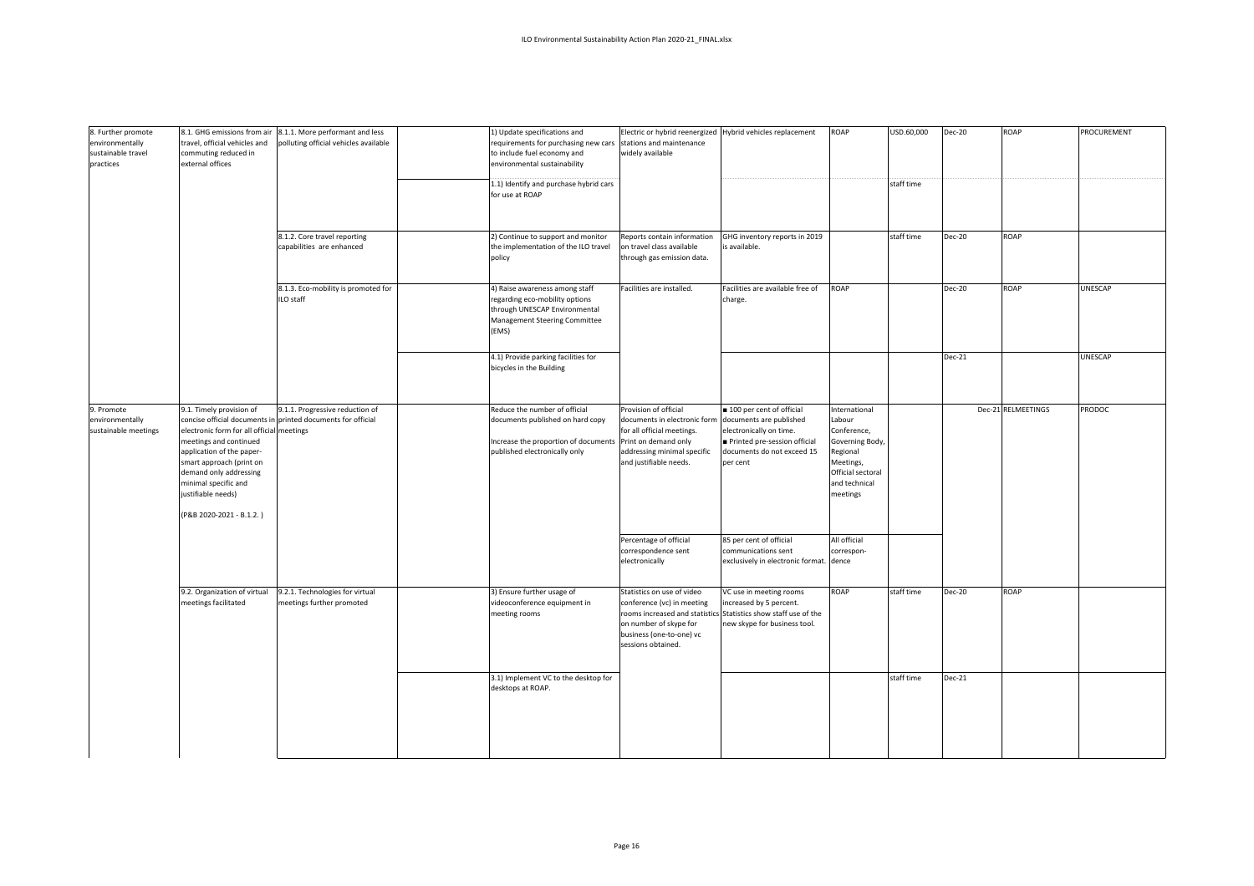| 8. Further promote<br>environmentally<br>sustainable travel<br>practices | 8.1. GHG emissions from air<br>travel, official vehicles and<br>commuting reduced in<br>external offices                                                                                                                                                                                      |                                                                   |                                                                                                                                                                 |                                                                                                                                                                       |                                                                                                                               |                                                                                                                                      |            |        |                    |         | 8.1.1. More performant and less<br>polluting official vehicles available<br>8.1.2. Core travel reporting | 1) Update specifications and<br>requirements for purchasing new cars stations and maintenance<br>to include fuel economy and<br>environmental sustainability<br>1.1) Identify and purchase hybrid cars<br>for use at ROAP<br>2) Continue to support and monitor | Electric or hybrid reenergized Hybrid vehicles replacement<br>widely available<br>Reports contain information | GHG inventory reports in 2019 | ROAP<br>. | USD.60,000<br>staff time<br>staff time | <b>Dec-20</b><br><b>Dec-20</b> | ROAP<br><b>ROAP</b> | PROCUREMENT |
|--------------------------------------------------------------------------|-----------------------------------------------------------------------------------------------------------------------------------------------------------------------------------------------------------------------------------------------------------------------------------------------|-------------------------------------------------------------------|-----------------------------------------------------------------------------------------------------------------------------------------------------------------|-----------------------------------------------------------------------------------------------------------------------------------------------------------------------|-------------------------------------------------------------------------------------------------------------------------------|--------------------------------------------------------------------------------------------------------------------------------------|------------|--------|--------------------|---------|----------------------------------------------------------------------------------------------------------|-----------------------------------------------------------------------------------------------------------------------------------------------------------------------------------------------------------------------------------------------------------------|---------------------------------------------------------------------------------------------------------------|-------------------------------|-----------|----------------------------------------|--------------------------------|---------------------|-------------|
|                                                                          |                                                                                                                                                                                                                                                                                               | capabilities are enhanced                                         | the implementation of the ILO travel<br>policy                                                                                                                  | on travel class available<br>through gas emission data.                                                                                                               | s available.                                                                                                                  |                                                                                                                                      |            |        |                    |         |                                                                                                          |                                                                                                                                                                                                                                                                 |                                                                                                               |                               |           |                                        |                                |                     |             |
|                                                                          |                                                                                                                                                                                                                                                                                               | 8.1.3. Eco-mobility is promoted for<br>ILO staff                  | 4) Raise awareness among staff<br>regarding eco-mobility options<br>through UNESCAP Environmental<br>Management Steering Committee<br>(EMS)                     | Facilities are installed.                                                                                                                                             | Facilities are available free of<br>charge.                                                                                   | ROAP                                                                                                                                 |            | Dec-20 | <b>ROAP</b>        | UNESCAP |                                                                                                          |                                                                                                                                                                                                                                                                 |                                                                                                               |                               |           |                                        |                                |                     |             |
|                                                                          |                                                                                                                                                                                                                                                                                               |                                                                   | 4.1) Provide parking facilities for<br>bicycles in the Building                                                                                                 |                                                                                                                                                                       |                                                                                                                               |                                                                                                                                      |            | Dec-21 |                    | UNESCAP |                                                                                                          |                                                                                                                                                                                                                                                                 |                                                                                                               |                               |           |                                        |                                |                     |             |
| 9. Promote<br>environmentally<br>sustainable meetings                    | 9.1. Timely provision of<br>concise official documents in<br>electronic form for all official meetings<br>meetings and continued<br>application of the paper-<br>smart approach (print on<br>demand only addressing<br>minimal specific and<br>justifiable needs)<br>(P&B 2020-2021 - B.1.2.) | 9.1.1. Progressive reduction of<br>printed documents for official | Reduce the number of official<br>documents published on hard copy<br>Increase the proportion of documents Print on demand only<br>published electronically only | Provision of official<br>documents in electronic form documents are published<br>for all official meetings.<br>addressing minimal specific<br>and justifiable needs.  | 100 per cent of official<br>electronically on time.<br>Printed pre-session official<br>documents do not exceed 15<br>per cent | International<br>Labour<br>Conference,<br>Governing Body,<br>Regional<br>Meetings,<br>Official sectoral<br>and technical<br>meetings |            |        | Dec-21 RELMEETINGS | PRODOC  |                                                                                                          |                                                                                                                                                                                                                                                                 |                                                                                                               |                               |           |                                        |                                |                     |             |
|                                                                          |                                                                                                                                                                                                                                                                                               |                                                                   |                                                                                                                                                                 | Percentage of official<br>correspondence sent<br>electronically                                                                                                       | 85 per cent of official<br>communications sent<br>exclusively in electronic format.                                           | All official<br>correspon-<br>dence                                                                                                  |            |        |                    |         |                                                                                                          |                                                                                                                                                                                                                                                                 |                                                                                                               |                               |           |                                        |                                |                     |             |
|                                                                          | 9.2. Organization of virtual<br>meetings facilitated                                                                                                                                                                                                                                          | 9.2.1. Technologies for virtual<br>meetings further promoted      | 3) Ensure further usage of<br>videoconference equipment in<br>meeting rooms                                                                                     | Statistics on use of video<br>conference (vc) in meeting<br>rooms increased and statistic<br>on number of skype for<br>business (one-to-one) vc<br>sessions obtained. | VC use in meeting rooms<br>ncreased by 5 percent.<br>s Statistics show staff use of the<br>new skype for business tool.       | ROAP                                                                                                                                 | staff time | Dec-20 | <b>ROAP</b>        |         |                                                                                                          |                                                                                                                                                                                                                                                                 |                                                                                                               |                               |           |                                        |                                |                     |             |
|                                                                          |                                                                                                                                                                                                                                                                                               |                                                                   | 3.1) Implement VC to the desktop for<br>desktops at ROAP.                                                                                                       |                                                                                                                                                                       |                                                                                                                               |                                                                                                                                      | staff time | Dec-21 |                    |         |                                                                                                          |                                                                                                                                                                                                                                                                 |                                                                                                               |                               |           |                                        |                                |                     |             |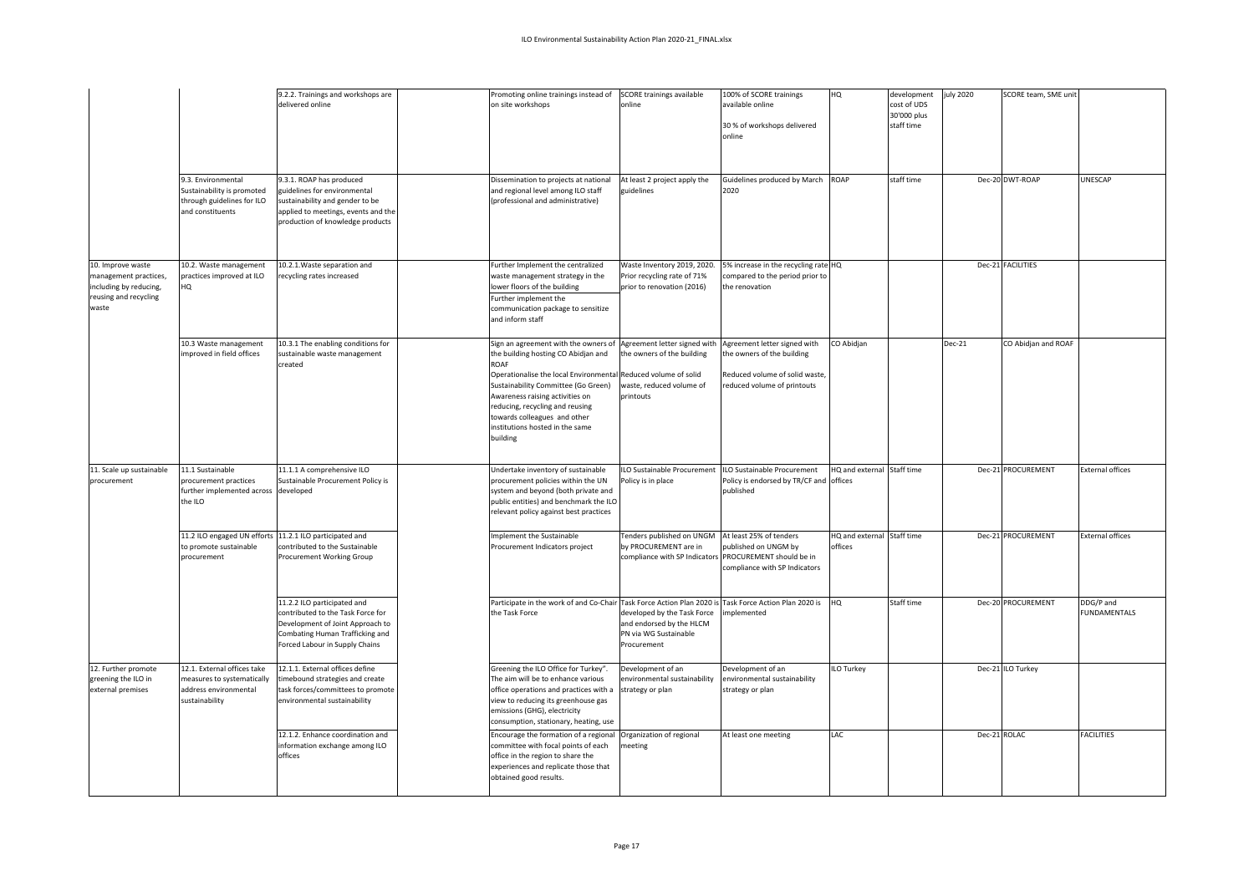|                                                                                                        | 9.3. Environmental<br>Sustainability is promoted<br>through guidelines for ILO<br>and constituents   | 9.2.2. Trainings and workshops are<br>delivered online<br>9.3.1. ROAP has produced<br>guidelines for environmental<br>sustainability and gender to be<br>applied to meetings, events and the<br>production of knowledge products | Promoting online trainings instead of<br>on site workshops<br>Dissemination to projects at national<br>and regional level among ILO staff<br>(professional and administrative)                                                                                                                                                                    | SCORE trainings available<br>online<br>At least 2 project apply the<br>guidelines                   | 100% of SCORE trainings<br>available online<br>30 % of workshops delivered<br>online<br>Guidelines produced by March ROAP<br>2020 | HQ                                    | development<br>cost of UDS<br>30'000 plus<br>staff time<br>staff time | uly 2020 | SCORE team, SME unit<br>Dec-20 DWT-ROAP | UNESCAP                          |
|--------------------------------------------------------------------------------------------------------|------------------------------------------------------------------------------------------------------|----------------------------------------------------------------------------------------------------------------------------------------------------------------------------------------------------------------------------------|---------------------------------------------------------------------------------------------------------------------------------------------------------------------------------------------------------------------------------------------------------------------------------------------------------------------------------------------------|-----------------------------------------------------------------------------------------------------|-----------------------------------------------------------------------------------------------------------------------------------|---------------------------------------|-----------------------------------------------------------------------|----------|-----------------------------------------|----------------------------------|
| 10. Improve waste<br>management practices,<br>including by reducing,<br>reusing and recycling<br>waste | 10.2. Waste management<br>practices improved at ILO<br>HQ                                            | 10.2.1. Waste separation and<br>recycling rates increased                                                                                                                                                                        | Further Implement the centralized<br>waste management strategy in the<br>lower floors of the building<br>Further implement the<br>communication package to sensitize<br>and inform staff                                                                                                                                                          | Waste Inventory 2019, 2020.<br>Prior recycling rate of 71%<br>prior to renovation (2016)            | 5% increase in the recycling rate HQ<br>compared to the period prior to<br>the renovation                                         |                                       |                                                                       |          | Dec-21 FACILITIES                       |                                  |
|                                                                                                        | 10.3 Waste management<br>mproved in field offices                                                    | 10.3.1 The enabling conditions for<br>sustainable waste management<br>created                                                                                                                                                    | Sign an agreement with the owners of<br>the building hosting CO Abidjan and<br>ROAF<br>Operationalise the local Environmental Reduced volume of solid<br>Sustainability Committee (Go Green)<br>Awareness raising activities on<br>reducing, recycling and reusing<br>towards colleagues and other<br>institutions hosted in the same<br>building | Agreement letter signed with<br>the owners of the building<br>waste, reduced volume of<br>printouts | Agreement letter signed with<br>the owners of the building<br>Reduced volume of solid waste,<br>reduced volume of printouts       | CO Abidjan                            |                                                                       | $Dec-21$ | CO Abidjan and ROAF                     |                                  |
| 11. Scale up sustainable<br>procurement                                                                | 11.1 Sustainable<br>procurement practices<br>further implemented across developed<br>the ILO         | 11.1.1 A comprehensive ILO<br>Sustainable Procurement Policy is                                                                                                                                                                  | Undertake inventory of sustainable<br>procurement policies within the UN<br>system and beyond (both private and<br>public entities) and benchmark the ILO<br>relevant policy against best practices                                                                                                                                               | ILO Sustainable Procurement<br>Policy is in place                                                   | ILO Sustainable Procurement<br>Policy is endorsed by TR/CF and offices<br>published                                               | HQ and external                       | Staff time                                                            |          | Dec-21 PROCUREMENT                      | <b>External offices</b>          |
|                                                                                                        | 11.2 ILO engaged UN efforts 11.2.1 ILO participated and<br>to promote sustainable<br>procurement     | contributed to the Sustainable<br>Procurement Working Group                                                                                                                                                                      | Implement the Sustainable<br>Procurement Indicators project                                                                                                                                                                                                                                                                                       | Tenders published on UNGM<br>by PROCUREMENT are in<br>compliance with SP Indicator.                 | At least 25% of tenders<br>published on UNGM by<br>PROCUREMENT should be in<br>compliance with SP Indicators                      | HQ and external Staff time<br>offices |                                                                       |          | Dec-21 PROCUREMENT                      | <b>External offices</b>          |
|                                                                                                        |                                                                                                      | 11.2.2 ILO participated and<br>contributed to the Task Force for<br>Development of Joint Approach to<br>Combating Human Trafficking and<br>Forced Labour in Supply Chains                                                        | Participate in the work of and Co-Chair Task Force Action Plan 2020 is Task Force Action Plan 2020 is<br>the Task Force                                                                                                                                                                                                                           | developed by the Task Force<br>and endorsed by the HLCM<br>PN via WG Sustainable<br>Procurement     | nplemented                                                                                                                        | HQ                                    | Staff time                                                            |          | Dec-20 PROCUREMENT                      | DDG/P and<br><b>FUNDAMENTALS</b> |
| 12. Further promote<br>greening the ILO in<br>external premises                                        | 12.1. External offices take<br>measures to systematically<br>address environmental<br>sustainability | 12.1.1. External offices define<br>timebound strategies and create<br>task forces/committees to promote<br>environmental sustainability                                                                                          | Greening the ILO Office for Turkey".<br>The aim will be to enhance various<br>office operations and practices with a<br>view to reducing its greenhouse gas<br>emissions (GHG), electricity<br>consumption, stationary, heating, use                                                                                                              | Development of an<br>environmental sustainability<br>strategy or plan                               | Development of an<br>environmental sustainability<br>strategy or plan                                                             | <b>ILO Turkey</b>                     |                                                                       |          | Dec-21 ILO Turkey                       |                                  |
|                                                                                                        |                                                                                                      | 12.1.2. Enhance coordination and<br>information exchange among ILO<br>offices                                                                                                                                                    | Encourage the formation of a regional<br>committee with focal points of each<br>office in the region to share the<br>experiences and replicate those that<br>obtained good results.                                                                                                                                                               | Organization of regional<br>neeting                                                                 | At least one meeting                                                                                                              | LAC                                   |                                                                       |          | Dec-21 ROLAC                            | <b>FACILITIES</b>                |